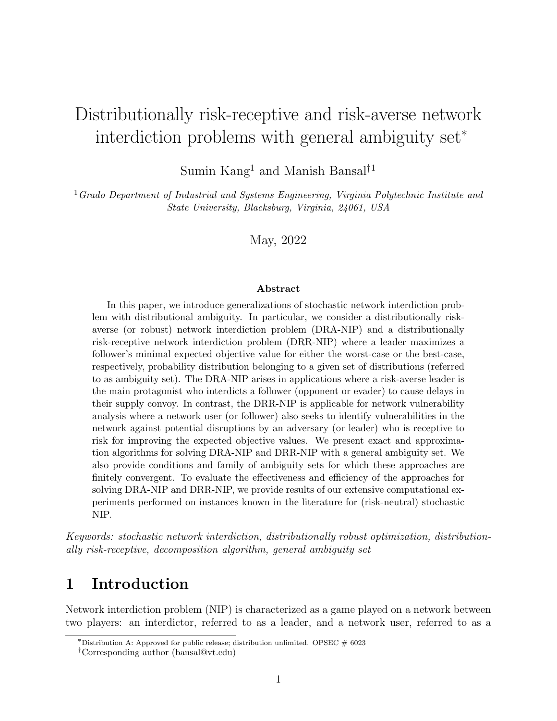# Distributionally risk-receptive and risk-averse network interdiction problems with general ambiguity set<sup>∗</sup>

Sumin Kang<sup>1</sup> and Manish Bansal<sup>†1</sup>

 $1$ Grado Department of Industrial and Systems Engineering, Virginia Polytechnic Institute and State University, Blacksburg, Virginia, 24061, USA

May, 2022

#### Abstract

In this paper, we introduce generalizations of stochastic network interdiction problem with distributional ambiguity. In particular, we consider a distributionally riskaverse (or robust) network interdiction problem (DRA-NIP) and a distributionally risk-receptive network interdiction problem (DRR-NIP) where a leader maximizes a follower's minimal expected objective value for either the worst-case or the best-case, respectively, probability distribution belonging to a given set of distributions (referred to as ambiguity set). The DRA-NIP arises in applications where a risk-averse leader is the main protagonist who interdicts a follower (opponent or evader) to cause delays in their supply convoy. In contrast, the DRR-NIP is applicable for network vulnerability analysis where a network user (or follower) also seeks to identify vulnerabilities in the network against potential disruptions by an adversary (or leader) who is receptive to risk for improving the expected objective values. We present exact and approximation algorithms for solving DRA-NIP and DRR-NIP with a general ambiguity set. We also provide conditions and family of ambiguity sets for which these approaches are finitely convergent. To evaluate the effectiveness and efficiency of the approaches for solving DRA-NIP and DRR-NIP, we provide results of our extensive computational experiments performed on instances known in the literature for (risk-neutral) stochastic NIP.

Keywords: stochastic network interdiction, distributionally robust optimization, distributionally risk-receptive, decomposition algorithm, general ambiguity set

## 1 Introduction

Network interdiction problem (NIP) is characterized as a game played on a network between two players: an interdictor, referred to as a leader, and a network user, referred to as a

<sup>\*</sup>Distribution A: Approved for public release; distribution unlimited. OPSEC  $\#$  6023

<sup>†</sup>Corresponding author (bansal@vt.edu)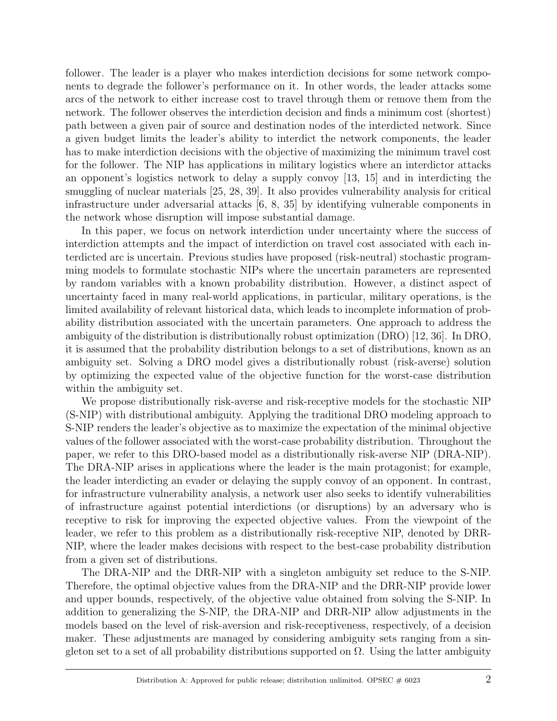follower. The leader is a player who makes interdiction decisions for some network components to degrade the follower's performance on it. In other words, the leader attacks some arcs of the network to either increase cost to travel through them or remove them from the network. The follower observes the interdiction decision and finds a minimum cost (shortest) path between a given pair of source and destination nodes of the interdicted network. Since a given budget limits the leader's ability to interdict the network components, the leader has to make interdiction decisions with the objective of maximizing the minimum travel cost for the follower. The NIP has applications in military logistics where an interdictor attacks an opponent's logistics network to delay a supply convoy [13, 15] and in interdicting the smuggling of nuclear materials [25, 28, 39]. It also provides vulnerability analysis for critical infrastructure under adversarial attacks [6, 8, 35] by identifying vulnerable components in the network whose disruption will impose substantial damage.

In this paper, we focus on network interdiction under uncertainty where the success of interdiction attempts and the impact of interdiction on travel cost associated with each interdicted arc is uncertain. Previous studies have proposed (risk-neutral) stochastic programming models to formulate stochastic NIPs where the uncertain parameters are represented by random variables with a known probability distribution. However, a distinct aspect of uncertainty faced in many real-world applications, in particular, military operations, is the limited availability of relevant historical data, which leads to incomplete information of probability distribution associated with the uncertain parameters. One approach to address the ambiguity of the distribution is distributionally robust optimization (DRO) [12, 36]. In DRO, it is assumed that the probability distribution belongs to a set of distributions, known as an ambiguity set. Solving a DRO model gives a distributionally robust (risk-averse) solution by optimizing the expected value of the objective function for the worst-case distribution within the ambiguity set.

We propose distributionally risk-averse and risk-receptive models for the stochastic NIP (S-NIP) with distributional ambiguity. Applying the traditional DRO modeling approach to S-NIP renders the leader's objective as to maximize the expectation of the minimal objective values of the follower associated with the worst-case probability distribution. Throughout the paper, we refer to this DRO-based model as a distributionally risk-averse NIP (DRA-NIP). The DRA-NIP arises in applications where the leader is the main protagonist; for example, the leader interdicting an evader or delaying the supply convoy of an opponent. In contrast, for infrastructure vulnerability analysis, a network user also seeks to identify vulnerabilities of infrastructure against potential interdictions (or disruptions) by an adversary who is receptive to risk for improving the expected objective values. From the viewpoint of the leader, we refer to this problem as a distributionally risk-receptive NIP, denoted by DRR-NIP, where the leader makes decisions with respect to the best-case probability distribution from a given set of distributions.

The DRA-NIP and the DRR-NIP with a singleton ambiguity set reduce to the S-NIP. Therefore, the optimal objective values from the DRA-NIP and the DRR-NIP provide lower and upper bounds, respectively, of the objective value obtained from solving the S-NIP. In addition to generalizing the S-NIP, the DRA-NIP and DRR-NIP allow adjustments in the models based on the level of risk-aversion and risk-receptiveness, respectively, of a decision maker. These adjustments are managed by considering ambiguity sets ranging from a singleton set to a set of all probability distributions supported on  $\Omega$ . Using the latter ambiguity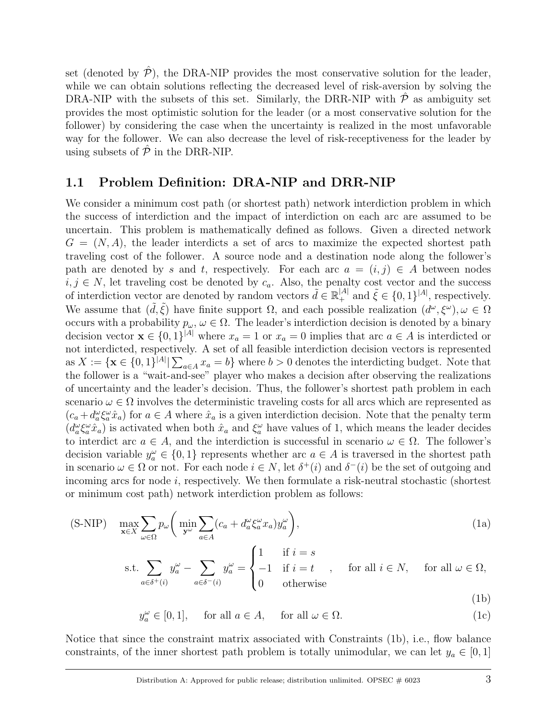set (denoted by  $\mathcal{P}$ ), the DRA-NIP provides the most conservative solution for the leader, while we can obtain solutions reflecting the decreased level of risk-aversion by solving the DRA-NIP with the subsets of this set. Similarly, the DRR-NIP with  $\hat{\mathcal{P}}$  as ambiguity set provides the most optimistic solution for the leader (or a most conservative solution for the follower) by considering the case when the uncertainty is realized in the most unfavorable way for the follower. We can also decrease the level of risk-receptiveness for the leader by using subsets of  $\hat{\mathcal{P}}$  in the DRR-NIP.

#### 1.1 Problem Definition: DRA-NIP and DRR-NIP

We consider a minimum cost path (or shortest path) network interdiction problem in which the success of interdiction and the impact of interdiction on each arc are assumed to be uncertain. This problem is mathematically defined as follows. Given a directed network  $G = (N, A)$ , the leader interdicts a set of arcs to maximize the expected shortest path traveling cost of the follower. A source node and a destination node along the follower's path are denoted by s and t, respectively. For each arc  $a = (i, j) \in A$  between nodes  $i, j \in N$ , let traveling cost be denoted by  $c_a$ . Also, the penalty cost vector and the success of interdiction vector are denoted by random vectors  $\tilde{d} \in \mathbb{R}^{|A|}_+$  and  $\tilde{\xi} \in \{0,1\}^{|A|}$ , respectively. We assume that  $(\tilde{d}, \tilde{\xi})$  have finite support  $\Omega$ , and each possible realization  $(d^{\omega}, \xi^{\omega}), \omega \in \Omega$ occurs with a probability  $p_{\omega}, \omega \in \Omega$ . The leader's interdiction decision is denoted by a binary decision vector  $\mathbf{x} \in \{0,1\}^{|A|}$  where  $x_a = 1$  or  $x_a = 0$  implies that arc  $a \in A$  is interdicted or not interdicted, respectively. A set of all feasible interdiction decision vectors is represented as  $X := \{ \mathbf{x} \in \{0,1\}^{|A|} | \sum_{a \in A} x_a = b \}$  where  $b > 0$  denotes the interdicting budget. Note that the follower is a "wait-and-see" player who makes a decision after observing the realizations of uncertainty and the leader's decision. Thus, the follower's shortest path problem in each scenario  $\omega \in \Omega$  involves the deterministic traveling costs for all arcs which are represented as  $(c_a + d_a^{\omega} \xi_a^{\omega} \hat{x}_a)$  for  $a \in A$  where  $\hat{x}_a$  is a given interdiction decision. Note that the penalty term  $(d_a^{\omega} \xi_a^{\omega} \hat{x}_a)$  is activated when both  $\hat{x}_a$  and  $\xi_a^{\omega}$  have values of 1, which means the leader decides to interdict arc  $a \in A$ , and the interdiction is successful in scenario  $\omega \in \Omega$ . The follower's decision variable  $y_a^{\omega} \in \{0,1\}$  represents whether arc  $a \in A$  is traversed in the shortest path in scenario  $\omega \in \Omega$  or not. For each node  $i \in N$ , let  $\delta^+(i)$  and  $\delta^-(i)$  be the set of outgoing and incoming arcs for node  $i$ , respectively. We then formulate a risk-neutral stochastic (shortest or minimum cost path) network interdiction problem as follows:

$$
\text{(S-NIP)} \quad \max_{\mathbf{x} \in X} \sum_{\omega \in \Omega} p_{\omega} \bigg( \min_{\mathbf{y}^{\omega}} \sum_{a \in A} (c_a + d_a^{\omega} \xi_a^{\omega} x_a) y_a^{\omega} \bigg), \tag{1a}
$$

s.t. 
$$
\sum_{a \in \delta^+(i)} y_a^{\omega} - \sum_{a \in \delta^-(i)} y_a^{\omega} = \begin{cases} 1 & \text{if } i = s \\ -1 & \text{if } i = t \\ 0 & \text{otherwise} \end{cases}
$$
, for all  $i \in \mathbb{N}$ , for all  $\omega \in \Omega$ ,

$$
y_a^{\omega} \in [0, 1], \quad \text{ for all } a \in A, \quad \text{ for all } \omega \in \Omega.
$$
 (1c)

Notice that since the constraint matrix associated with Constraints (1b), i.e., flow balance constraints, of the inner shortest path problem is totally unimodular, we can let  $y_a \in [0,1]$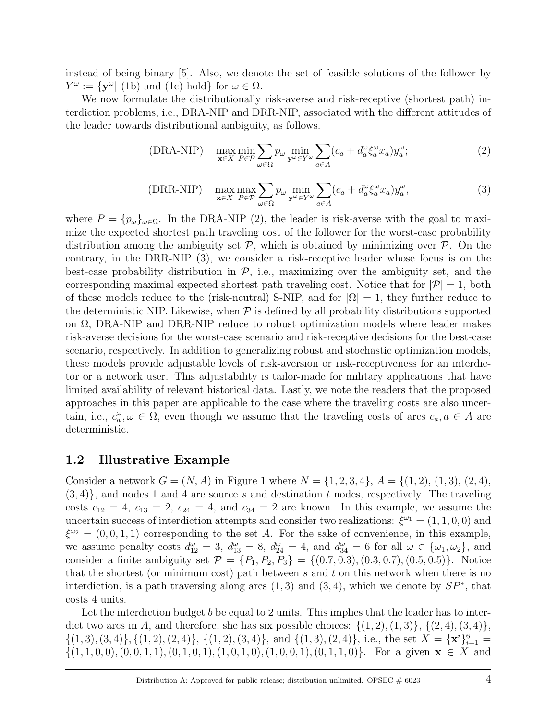instead of being binary [5]. Also, we denote the set of feasible solutions of the follower by  $Y^{\omega} := \{ \mathbf{y}^{\omega} | \text{ (1b) and (1c) hold} \} \text{ for } \omega \in \Omega.$ 

We now formulate the distributionally risk-averse and risk-receptive (shortest path) interdiction problems, i.e., DRA-NIP and DRR-NIP, associated with the different attitudes of the leader towards distributional ambiguity, as follows.

(DRA-NIP) 
$$
\max_{\mathbf{x}\in X} \min_{P\in\mathcal{P}} \sum_{\omega\in\Omega} p_{\omega} \min_{\mathbf{y}^{\omega}\in Y^{\omega}} \sum_{a\in A} (c_a + d_a^{\omega} \xi_a^{\omega} x_a) y_a^{\omega};
$$
 (2)

(DRR-NIP) 
$$
\max_{\mathbf{x}\in X} \max_{P\in\mathcal{P}} \sum_{\omega\in\Omega} p_{\omega} \min_{\mathbf{y}^{\omega}\in Y^{\omega}} \sum_{a\in A} (c_a + d_a^{\omega} \xi_a^{\omega} x_a) y_a^{\omega},
$$
 (3)

where  $P = {p_{\omega}}_{\omega \in \Omega}$ . In the DRA-NIP (2), the leader is risk-averse with the goal to maximize the expected shortest path traveling cost of the follower for the worst-case probability distribution among the ambiguity set  $P$ , which is obtained by minimizing over  $P$ . On the contrary, in the DRR-NIP (3), we consider a risk-receptive leader whose focus is on the best-case probability distribution in  $P$ , i.e., maximizing over the ambiguity set, and the corresponding maximal expected shortest path traveling cost. Notice that for  $|\mathcal{P}| = 1$ , both of these models reduce to the (risk-neutral) S-NIP, and for  $|\Omega|=1$ , they further reduce to the deterministic NIP. Likewise, when  $P$  is defined by all probability distributions supported on Ω, DRA-NIP and DRR-NIP reduce to robust optimization models where leader makes risk-averse decisions for the worst-case scenario and risk-receptive decisions for the best-case scenario, respectively. In addition to generalizing robust and stochastic optimization models, these models provide adjustable levels of risk-aversion or risk-receptiveness for an interdictor or a network user. This adjustability is tailor-made for military applications that have limited availability of relevant historical data. Lastly, we note the readers that the proposed approaches in this paper are applicable to the case where the traveling costs are also uncertain, i.e.,  $c_a^{\omega}, \omega \in \Omega$ , even though we assume that the traveling costs of arcs  $c_a, a \in A$  are deterministic.

#### 1.2 Illustrative Example

Consider a network  $G = (N, A)$  in Figure 1 where  $N = \{1, 2, 3, 4\}, A = \{(1, 2), (1, 3), (2, 4),$  $(3, 4)$ , and nodes 1 and 4 are source s and destination t nodes, respectively. The traveling costs  $c_{12} = 4$ ,  $c_{13} = 2$ ,  $c_{24} = 4$ , and  $c_{34} = 2$  are known. In this example, we assume the uncertain success of interdiction attempts and consider two realizations:  $\xi^{\omega_1} = (1, 1, 0, 0)$  and  $\xi^{\omega_2} = (0, 0, 1, 1)$  corresponding to the set A. For the sake of convenience, in this example, we assume penalty costs  $d_{12}^{\omega} = 3$ ,  $d_{13}^{\omega} = 8$ ,  $d_{24}^{\omega} = 4$ , and  $d_{34}^{\omega} = 6$  for all  $\omega \in {\{\omega_1, \omega_2\}}$ , and consider a finite ambiguity set  $\mathcal{P} = \{P_1, P_2, P_3\} = \{(0.7, 0.3), (0.3, 0.7), (0.5, 0.5)\}\.$  Notice that the shortest (or minimum cost) path between s and t on this network when there is no interdiction, is a path traversing along arcs  $(1,3)$  and  $(3,4)$ , which we denote by  $SP^*$ , that costs 4 units.

Let the interdiction budget b be equal to 2 units. This implies that the leader has to interdict two arcs in A, and therefore, she has six possible choices:  $\{(1, 2), (1, 3)\}, \{(2, 4), (3, 4)\},\$  $\{(1,3), (3,4)\}, \{(1,2), (2,4)\}, \{(1,2), (3,4)\}, \text{ and } \{(1,3), (2,4)\}, \text{ i.e., the set } X = {\mathbf{x}^i}_{i=1}^6 = {\mathbf{x}^i}_{i=1}^6$  $\{(1, 1, 0, 0), (0, 0, 1, 1), (0, 1, 0, 1), (1, 0, 1, 0), (1, 0, 0, 1), (0, 1, 1, 0)\}.$  For a given  $\mathbf{x} \in X$  and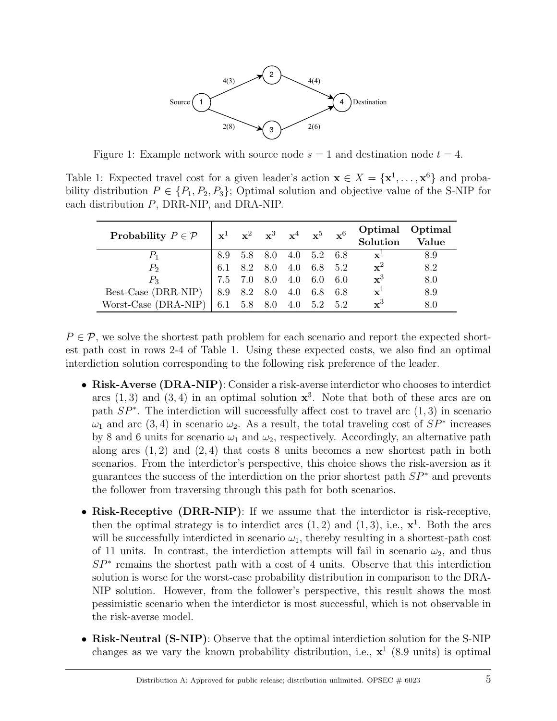

Figure 1: Example network with source node  $s = 1$  and destination node  $t = 4$ .

Table 1: Expected travel cost for a given leader's action  $\mathbf{x} \in X = \{x^1, \ldots, x^6\}$  and probability distribution  $P \in \{P_1, P_2, P_3\}$ ; Optimal solution and objective value of the S-NIP for each distribution P, DRR-NIP, and DRA-NIP.

| Probability $P \in \mathcal{P}$ |             | $\mathbf{x}^1$ $\mathbf{x}^2$ $\mathbf{x}^3$ $\mathbf{x}^4$ $\mathbf{x}^5$ $\mathbf{x}^6$ |         | Optimal Optimal<br>Solution | Value |
|---------------------------------|-------------|-------------------------------------------------------------------------------------------|---------|-----------------------------|-------|
|                                 |             | 8.9 5.8 8.0 4.0 5.2 6.8                                                                   |         | $\mathbf{x}^1$              | 8.9   |
| P <sub>2</sub>                  |             | 6.1 8.2 8.0 4.0 6.8 5.2                                                                   |         | $\mathbf{x}^2$              | 8.2   |
| $P_{\rm 3}$                     |             | 7.5 7.0 8.0 4.0 6.0 6.0                                                                   |         | $\mathbf{x}^3$              | 8.0   |
| Best-Case (DRR-NIP)             | 8.9 8.2 8.0 | 4.0                                                                                       | 6.8 6.8 | $\mathbf{x}^1$              | 8.9   |
| Worst-Case (DRA-NIP)            |             | 6.1 5.8 8.0 4.0 5.2 5.2                                                                   |         | $\mathbf{x}^3$              | 8.0   |

 $P \in \mathcal{P}$ , we solve the shortest path problem for each scenario and report the expected shortest path cost in rows 2-4 of Table 1. Using these expected costs, we also find an optimal interdiction solution corresponding to the following risk preference of the leader.

- Risk-Averse (DRA-NIP): Consider a risk-averse interdictor who chooses to interdict arcs  $(1,3)$  and  $(3,4)$  in an optimal solution  $\mathbf{x}^3$ . Note that both of these arcs are on path  $SP^*$ . The interdiction will successfully affect cost to travel arc  $(1,3)$  in scenario  $\omega_1$  and arc (3,4) in scenario  $\omega_2$ . As a result, the total traveling cost of  $SP^*$  increases by 8 and 6 units for scenario  $\omega_1$  and  $\omega_2$ , respectively. Accordingly, an alternative path along arcs  $(1, 2)$  and  $(2, 4)$  that costs 8 units becomes a new shortest path in both scenarios. From the interdictor's perspective, this choice shows the risk-aversion as it guarantees the success of the interdiction on the prior shortest path  $SP^*$  and prevents the follower from traversing through this path for both scenarios.
- Risk-Receptive (DRR-NIP): If we assume that the interdictor is risk-receptive, then the optimal strategy is to interdict arcs  $(1, 2)$  and  $(1, 3)$ , i.e.,  $\mathbf{x}^1$ . Both the arcs will be successfully interdicted in scenario  $\omega_1$ , thereby resulting in a shortest-path cost of 11 units. In contrast, the interdiction attempts will fail in scenario  $\omega_2$ , and thus SP<sup>∗</sup> remains the shortest path with a cost of 4 units. Observe that this interdiction solution is worse for the worst-case probability distribution in comparison to the DRA-NIP solution. However, from the follower's perspective, this result shows the most pessimistic scenario when the interdictor is most successful, which is not observable in the risk-averse model.
- Risk-Neutral (S-NIP): Observe that the optimal interdiction solution for the S-NIP changes as we vary the known probability distribution, i.e.,  $x^1$  (8.9 units) is optimal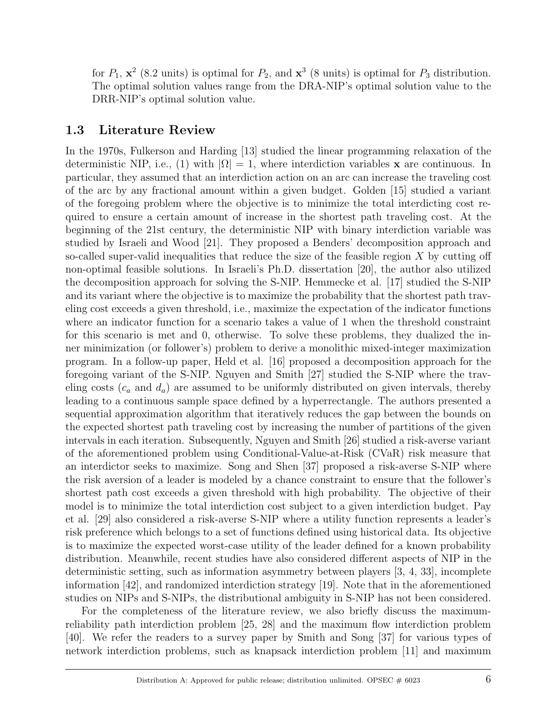for  $P_1$ ,  $\mathbf{x}^2$  (8.2 units) is optimal for  $P_2$ , and  $\mathbf{x}^3$  (8 units) is optimal for  $P_3$  distribution. The optimal solution values range from the DRA-NIP's optimal solution value to the DRR-NIP's optimal solution value.

#### 1.3 Literature Review

In the 1970s, Fulkerson and Harding [13] studied the linear programming relaxation of the deterministic NIP, i.e., (1) with  $|\Omega| = 1$ , where interdiction variables x are continuous. In particular, they assumed that an interdiction action on an arc can increase the traveling cost of the arc by any fractional amount within a given budget. Golden [15] studied a variant of the foregoing problem where the objective is to minimize the total interdicting cost required to ensure a certain amount of increase in the shortest path traveling cost. At the beginning of the 21st century, the deterministic NIP with binary interdiction variable was studied by Israeli and Wood [21]. They proposed a Benders' decomposition approach and so-called super-valid inequalities that reduce the size of the feasible region  $X$  by cutting off non-optimal feasible solutions. In Israeli's Ph.D. dissertation [20], the author also utilized the decomposition approach for solving the S-NIP. Hemmecke et al. [17] studied the S-NIP and its variant where the objective is to maximize the probability that the shortest path traveling cost exceeds a given threshold, i.e., maximize the expectation of the indicator functions where an indicator function for a scenario takes a value of 1 when the threshold constraint for this scenario is met and 0, otherwise. To solve these problems, they dualized the inner minimization (or follower's) problem to derive a monolithic mixed-integer maximization program. In a follow-up paper, Held et al. [16] proposed a decomposition approach for the foregoing variant of the S-NIP. Nguyen and Smith [27] studied the S-NIP where the traveling costs  $(c_a$  and  $d_a)$  are assumed to be uniformly distributed on given intervals, thereby leading to a continuous sample space defined by a hyperrectangle. The authors presented a sequential approximation algorithm that iteratively reduces the gap between the bounds on the expected shortest path traveling cost by increasing the number of partitions of the given intervals in each iteration. Subsequently, Nguyen and Smith [26] studied a risk-averse variant of the aforementioned problem using Conditional-Value-at-Risk (CVaR) risk measure that an interdictor seeks to maximize. Song and Shen [37] proposed a risk-averse S-NIP where the risk aversion of a leader is modeled by a chance constraint to ensure that the follower's shortest path cost exceeds a given threshold with high probability. The objective of their model is to minimize the total interdiction cost subject to a given interdiction budget. Pay et al. [29] also considered a risk-averse S-NIP where a utility function represents a leader's risk preference which belongs to a set of functions defined using historical data. Its objective is to maximize the expected worst-case utility of the leader defined for a known probability distribution. Meanwhile, recent studies have also considered different aspects of NIP in the deterministic setting, such as information asymmetry between players [3, 4, 33], incomplete information [42], and randomized interdiction strategy [19]. Note that in the aforementioned studies on NIPs and S-NIPs, the distributional ambiguity in S-NIP has not been considered.

For the completeness of the literature review, we also briefly discuss the maximumreliability path interdiction problem [25, 28] and the maximum flow interdiction problem [40]. We refer the readers to a survey paper by Smith and Song [37] for various types of network interdiction problems, such as knapsack interdiction problem [11] and maximum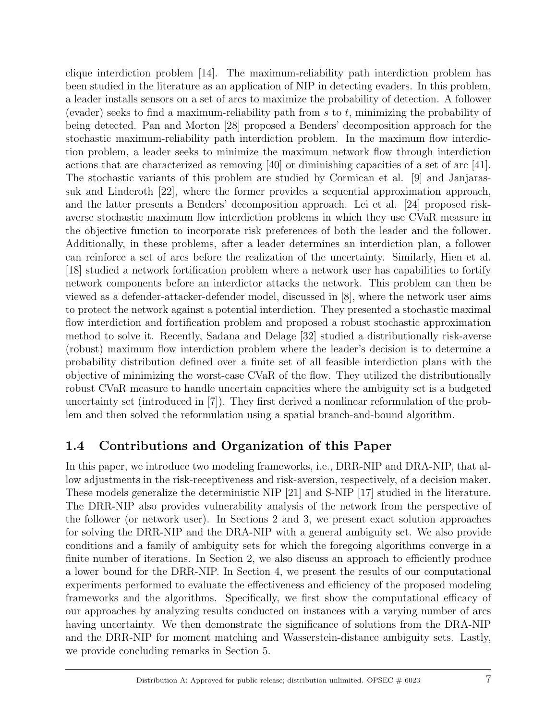clique interdiction problem [14]. The maximum-reliability path interdiction problem has been studied in the literature as an application of NIP in detecting evaders. In this problem, a leader installs sensors on a set of arcs to maximize the probability of detection. A follower (evader) seeks to find a maximum-reliability path from s to t, minimizing the probability of being detected. Pan and Morton [28] proposed a Benders' decomposition approach for the stochastic maximum-reliability path interdiction problem. In the maximum flow interdiction problem, a leader seeks to minimize the maximum network flow through interdiction actions that are characterized as removing [40] or diminishing capacities of a set of arc [41]. The stochastic variants of this problem are studied by Cormican et al. [9] and Janjarassuk and Linderoth [22], where the former provides a sequential approximation approach, and the latter presents a Benders' decomposition approach. Lei et al. [24] proposed riskaverse stochastic maximum flow interdiction problems in which they use CVaR measure in the objective function to incorporate risk preferences of both the leader and the follower. Additionally, in these problems, after a leader determines an interdiction plan, a follower can reinforce a set of arcs before the realization of the uncertainty. Similarly, Hien et al. [18] studied a network fortification problem where a network user has capabilities to fortify network components before an interdictor attacks the network. This problem can then be viewed as a defender-attacker-defender model, discussed in [8], where the network user aims to protect the network against a potential interdiction. They presented a stochastic maximal flow interdiction and fortification problem and proposed a robust stochastic approximation method to solve it. Recently, Sadana and Delage [32] studied a distributionally risk-averse (robust) maximum flow interdiction problem where the leader's decision is to determine a probability distribution defined over a finite set of all feasible interdiction plans with the objective of minimizing the worst-case CVaR of the flow. They utilized the distributionally robust CVaR measure to handle uncertain capacities where the ambiguity set is a budgeted uncertainty set (introduced in [7]). They first derived a nonlinear reformulation of the problem and then solved the reformulation using a spatial branch-and-bound algorithm.

## 1.4 Contributions and Organization of this Paper

In this paper, we introduce two modeling frameworks, i.e., DRR-NIP and DRA-NIP, that allow adjustments in the risk-receptiveness and risk-aversion, respectively, of a decision maker. These models generalize the deterministic NIP [21] and S-NIP [17] studied in the literature. The DRR-NIP also provides vulnerability analysis of the network from the perspective of the follower (or network user). In Sections 2 and 3, we present exact solution approaches for solving the DRR-NIP and the DRA-NIP with a general ambiguity set. We also provide conditions and a family of ambiguity sets for which the foregoing algorithms converge in a finite number of iterations. In Section 2, we also discuss an approach to efficiently produce a lower bound for the DRR-NIP. In Section 4, we present the results of our computational experiments performed to evaluate the effectiveness and efficiency of the proposed modeling frameworks and the algorithms. Specifically, we first show the computational efficacy of our approaches by analyzing results conducted on instances with a varying number of arcs having uncertainty. We then demonstrate the significance of solutions from the DRA-NIP and the DRR-NIP for moment matching and Wasserstein-distance ambiguity sets. Lastly, we provide concluding remarks in Section 5.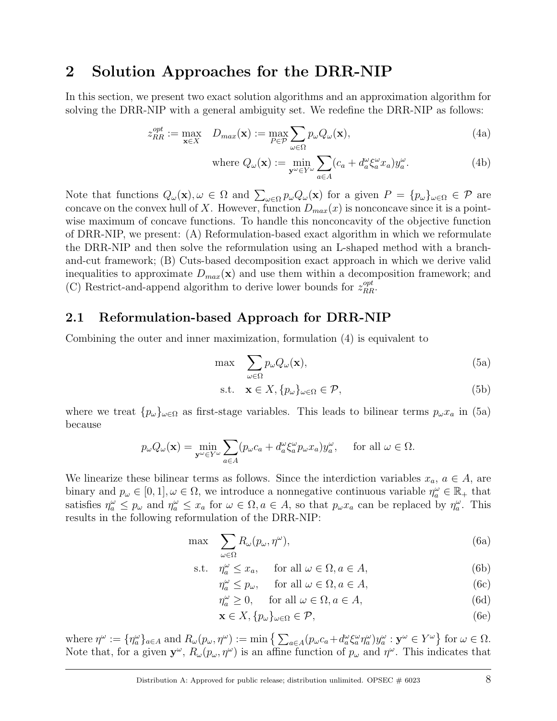## 2 Solution Approaches for the DRR-NIP

In this section, we present two exact solution algorithms and an approximation algorithm for solving the DRR-NIP with a general ambiguity set. We redefine the DRR-NIP as follows:

$$
z_{RR}^{opt} := \max_{\mathbf{x} \in X} \quad D_{max}(\mathbf{x}) := \max_{P \in \mathcal{P}} \sum_{\omega \in \Omega} p_{\omega} Q_{\omega}(\mathbf{x}), \tag{4a}
$$

where 
$$
Q_{\omega}(\mathbf{x}) := \min_{\mathbf{y}^{\omega} \in Y^{\omega}} \sum_{a \in A} (c_a + d_a^{\omega} \xi_a^{\omega} x_a) y_a^{\omega}.
$$
 (4b)

Note that functions  $Q_{\omega}(\mathbf{x}), \omega \in \Omega$  and  $\sum_{\omega \in \Omega} p_{\omega} Q_{\omega}(\mathbf{x})$  for a given  $P = \{p_{\omega}\}_{\omega \in \Omega} \in \mathcal{P}$  are concave on the convex hull of X. However, function  $D_{max}(x)$  is nonconcave since it is a pointwise maximum of concave functions. To handle this nonconcavity of the objective function of DRR-NIP, we present: (A) Reformulation-based exact algorithm in which we reformulate the DRR-NIP and then solve the reformulation using an L-shaped method with a branchand-cut framework; (B) Cuts-based decomposition exact approach in which we derive valid inequalities to approximate  $D_{max}(\mathbf{x})$  and use them within a decomposition framework; and (C) Restrict-and-append algorithm to derive lower bounds for  $z_{RR}^{opt}$ .

### 2.1 Reformulation-based Approach for DRR-NIP

Combining the outer and inner maximization, formulation (4) is equivalent to

$$
\max \sum_{\omega \in \Omega} p_{\omega} Q_{\omega}(\mathbf{x}), \tag{5a}
$$

$$
\text{s.t.} \quad \mathbf{x} \in X, \{p_{\omega}\}_{\omega \in \Omega} \in \mathcal{P},\tag{5b}
$$

where we treat  $\{p_{\omega}\}_{{\omega}\in\Omega}$  as first-stage variables. This leads to bilinear terms  $p_{\omega}x_a$  in (5a) because

$$
p_{\omega}Q_{\omega}(\mathbf{x}) = \min_{\mathbf{y}^{\omega} \in Y^{\omega}} \sum_{a \in A} (p_{\omega}c_a + d_a^{\omega} \xi_a^{\omega} p_{\omega} x_a) y_a^{\omega}, \quad \text{ for all } \omega \in \Omega.
$$

We linearize these bilinear terms as follows. Since the interdiction variables  $x_a, a \in A$ , are binary and  $p_\omega \in [0,1], \omega \in \Omega$ , we introduce a nonnegative continuous variable  $\eta_a^{\omega} \in \mathbb{R}_+$  that satisfies  $\eta_a^{\omega} \leq p_{\omega}$  and  $\eta_a^{\omega} \leq x_a$  for  $\omega \in \Omega, a \in A$ , so that  $p_{\omega}x_a$  can be replaced by  $\eta_a^{\omega}$ . This results in the following reformulation of the DRR-NIP:

$$
\max \sum_{\omega \in \Omega} R_{\omega}(p_{\omega}, \eta^{\omega}), \tag{6a}
$$

s.t. 
$$
\eta_a^{\omega} \le x_a
$$
, for all  $\omega \in \Omega$ ,  $a \in A$ ,  $(6b)$ 

$$
\eta_a^{\omega} \le p_{\omega}, \quad \text{ for all } \omega \in \Omega, a \in A,
$$
\n
$$
(6c)
$$

$$
\eta_a^{\omega} \ge 0, \quad \text{ for all } \omega \in \Omega, a \in A,
$$
\n
$$
(6d)
$$

$$
\mathbf{x} \in X, \{p_{\omega}\}_{\omega \in \Omega} \in \mathcal{P},\tag{6e}
$$

where  $\eta^{\omega} := {\eta_{a}^{\omega}}_{a\in A}$  and  $R_{\omega}(p_{\omega}, \eta^{\omega}) := \min \left\{ \sum_{a \in A} (p_{\omega}c_{a} + d_{a}^{\omega}\xi_{a}^{\omega}\eta_{a}^{\omega})y_{a}^{\omega} : \mathbf{y}^{\omega} \in Y^{\omega} \right\}$  for  $\omega \in \Omega$ . Note that, for a given  $y^{\omega}$ ,  $R_{\omega}(p_{\omega}, \eta^{\omega})$  is an affine function of  $p_{\omega}$  and  $\eta^{\omega}$ . This indicates that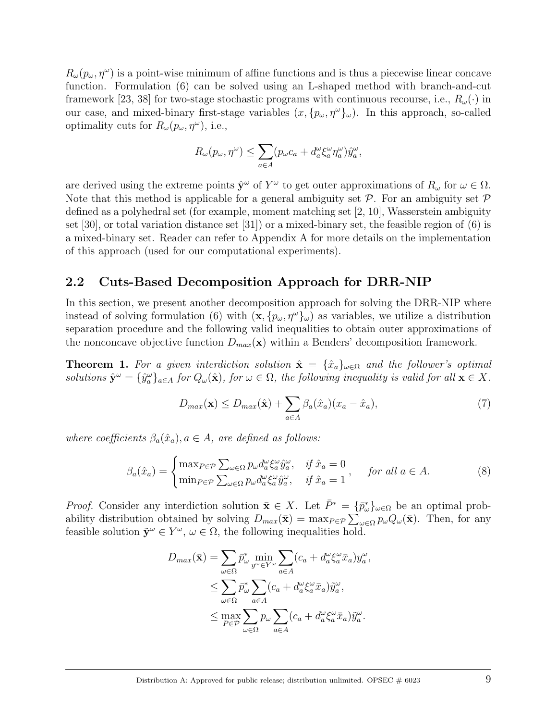$R_{\omega}(p_{\omega}, \eta^{\omega})$  is a point-wise minimum of affine functions and is thus a piecewise linear concave function. Formulation (6) can be solved using an L-shaped method with branch-and-cut framework [23, 38] for two-stage stochastic programs with continuous recourse, i.e.,  $R_{\omega}(\cdot)$  in our case, and mixed-binary first-stage variables  $(x, {p<sub>\omega</sub>, \eta<sup>\omega</sup>}_{\omega})$ . In this approach, so-called optimality cuts for  $R_{\omega}(p_{\omega}, \eta^{\omega})$ , i.e.,

$$
R_{\omega}(p_{\omega}, \eta^{\omega}) \leq \sum_{a \in A} (p_{\omega}c_a + d^{\omega}_a \xi_a^{\omega} \eta_a^{\omega}) \hat{y}_a^{\omega},
$$

are derived using the extreme points  $\hat{\mathbf{y}}^{\omega}$  of  $Y^{\omega}$  to get outer approximations of  $R_{\omega}$  for  $\omega \in \Omega$ . Note that this method is applicable for a general ambiguity set  $\mathcal P$ . For an ambiguity set  $\mathcal P$ defined as a polyhedral set (for example, moment matching set [2, 10], Wasserstein ambiguity set [30], or total variation distance set [31]) or a mixed-binary set, the feasible region of (6) is a mixed-binary set. Reader can refer to Appendix A for more details on the implementation of this approach (used for our computational experiments).

#### 2.2 Cuts-Based Decomposition Approach for DRR-NIP

In this section, we present another decomposition approach for solving the DRR-NIP where instead of solving formulation (6) with  $(\mathbf{x}, \{p_\omega, \eta^\omega\}_\omega)$  as variables, we utilize a distribution separation procedure and the following valid inequalities to obtain outer approximations of the nonconcave objective function  $D_{max}(\mathbf{x})$  within a Benders' decomposition framework.

**Theorem 1.** For a given interdiction solution  $\hat{\mathbf{x}} = {\hat{x}_a}_{\omega \in \Omega}$  and the follower's optimal solutions  $\hat{\mathbf{y}}^{\omega} = {\hat{y}_a^{\omega}}_{a \in A}$  for  $Q_{\omega}(\hat{\mathbf{x}})$ , for  $\omega \in \Omega$ , the following inequality is valid for all  $\mathbf{x} \in X$ .

$$
D_{max}(\mathbf{x}) \le D_{max}(\hat{\mathbf{x}}) + \sum_{a \in A} \beta_a(\hat{x}_a)(x_a - \hat{x}_a), \tag{7}
$$

where coefficients  $\beta_a(\hat{x}_a), a \in A$ , are defined as follows:

$$
\beta_a(\hat{x}_a) = \begin{cases} \max_{P \in \mathcal{P}} \sum_{\omega \in \Omega} p_{\omega} d_a^{\omega} \xi_a^{\omega} \hat{y}_a^{\omega}, & \text{if } \hat{x}_a = 0 \\ \min_{P \in \mathcal{P}} \sum_{\omega \in \Omega} p_{\omega} d_a^{\omega} \xi_a^{\omega} \hat{y}_a^{\omega}, & \text{if } \hat{x}_a = 1 \end{cases}, \quad \text{for all } a \in A. \tag{8}
$$

*Proof.* Consider any interdiction solution  $\bar{\mathbf{x}} \in X$ . Let  $\bar{P}^* = {\{\bar{p}_\omega^*\}}_{\omega \in \Omega}$  be an optimal probability distribution obtained by solving  $D_{max}(\bar{\mathbf{x}}) = \max_{P \in \mathcal{P}} \sum_{\omega \in \Omega} p_{\omega} Q_{\omega}(\bar{\mathbf{x}})$ . Then, for any feasible solution  $\tilde{\mathbf{y}}^{\omega} \in Y^{\omega}$ ,  $\omega \in \Omega$ , the following inequalities hold.

$$
D_{max}(\bar{\mathbf{x}}) = \sum_{\omega \in \Omega} \bar{p}_{\omega}^* \min_{y^{\omega} \in Y^{\omega}} \sum_{a \in A} (c_a + d_a^{\omega} \xi_a^{\omega} \bar{x}_a) y_a^{\omega},
$$
  

$$
\leq \sum_{\omega \in \Omega} \bar{p}_{\omega}^* \sum_{a \in A} (c_a + d_a^{\omega} \xi_a^{\omega} \bar{x}_a) \tilde{y}_a^{\omega},
$$
  

$$
\leq \max_{P \in \mathcal{P}} \sum_{\omega \in \Omega} p_{\omega} \sum_{a \in A} (c_a + d_a^{\omega} \xi_a^{\omega} \bar{x}_a) \tilde{y}_a^{\omega}.
$$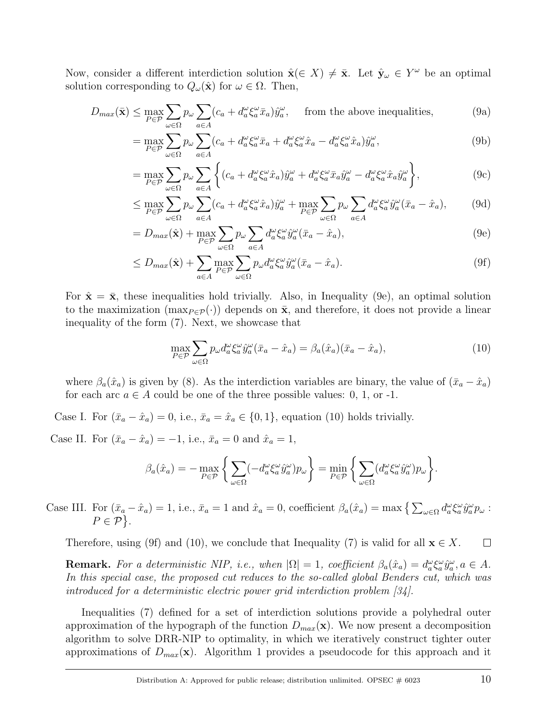Now, consider a different interdiction solution  $\hat{\mathbf{x}}(\in X) \neq \bar{\mathbf{x}}$ . Let  $\hat{\mathbf{y}}_{\omega} \in Y^{\omega}$  be an optimal solution corresponding to  $Q_{\omega}(\hat{\mathbf{x}})$  for  $\omega \in \Omega$ . Then,

$$
D_{max}(\bar{\mathbf{x}}) \le \max_{P \in \mathcal{P}} \sum_{\omega \in \Omega} p_{\omega} \sum_{a \in A} (c_a + d_a^{\omega} \xi_a^{\omega} \bar{x}_a) \hat{y}_a^{\omega}, \quad \text{ from the above inequalities,} \tag{9a}
$$

$$
= \max_{P \in \mathcal{P}} \sum_{\omega \in \Omega} p_{\omega} \sum_{a \in A} (c_a + d_a^{\omega} \xi_a^{\omega} \bar{x}_a + d_a^{\omega} \xi_a^{\omega} \hat{x}_a - d_a^{\omega} \xi_a^{\omega} \hat{x}_a) \hat{y}_a^{\omega}, \tag{9b}
$$

$$
= \max_{P \in \mathcal{P}} \sum_{\omega \in \Omega} p_{\omega} \sum_{a \in A} \left\{ (c_a + d_a^{\omega} \xi_a^{\omega} \hat{x}_a) \hat{y}_a^{\omega} + d_a^{\omega} \xi_a^{\omega} \bar{x}_a \hat{y}_a^{\omega} - d_a^{\omega} \xi_a^{\omega} \hat{x}_a \hat{y}_a^{\omega} \right\},
$$
(9c)

$$
\leq \max_{P \in \mathcal{P}} \sum_{\omega \in \Omega} p_{\omega} \sum_{a \in A} (c_a + d_a^{\omega} \xi_a^{\omega} \hat{x}_a) \hat{y}_a^{\omega} + \max_{P \in \mathcal{P}} \sum_{\omega \in \Omega} p_{\omega} \sum_{a \in A} d_a^{\omega} \xi_a^{\omega} \hat{y}_a^{\omega} (\bar{x}_a - \hat{x}_a), \tag{9d}
$$

$$
=D_{max}(\hat{\mathbf{x}})+\max_{P\in\mathcal{P}}\sum_{\omega\in\Omega}p_{\omega}\sum_{a\in A}d_{a}^{\omega}\xi_{a}^{\omega}\hat{y}_{a}^{\omega}(\bar{x}_{a}-\hat{x}_{a}),
$$
\n(9e)

$$
\leq D_{max}(\hat{\mathbf{x}}) + \sum_{a \in A} \max_{P \in \mathcal{P}} \sum_{\omega \in \Omega} p_{\omega} d_a^{\omega} \xi_a^{\omega} \hat{y}_a^{\omega} (\bar{x}_a - \hat{x}_a). \tag{9f}
$$

For  $\hat{\mathbf{x}} = \bar{\mathbf{x}}$ , these inequalities hold trivially. Also, in Inequality (9e), an optimal solution to the maximization (max $_{P \in \mathcal{P}}(\cdot)$ ) depends on  $\bar{\mathbf{x}}$ , and therefore, it does not provide a linear inequality of the form (7). Next, we showcase that

$$
\max_{P \in \mathcal{P}} \sum_{\omega \in \Omega} p_{\omega} d_a^{\omega} \xi_a^{\omega} \hat{y}_a^{\omega} (\bar{x}_a - \hat{x}_a) = \beta_a(\hat{x}_a)(\bar{x}_a - \hat{x}_a), \tag{10}
$$

where  $\beta_a(\hat{x}_a)$  is given by (8). As the interdiction variables are binary, the value of  $(\bar{x}_a - \hat{x}_a)$ for each arc  $a \in A$  could be one of the three possible values: 0, 1, or -1.

Case I. For  $(\bar{x}_a - \hat{x}_a) = 0$ , i.e.,  $\bar{x}_a = \hat{x}_a \in \{0, 1\}$ , equation (10) holds trivially.

Case II. For  $(\bar{x}_a - \hat{x}_a) = -1$ , i.e.,  $\bar{x}_a = 0$  and  $\hat{x}_a = 1$ ,

$$
\beta_a(\hat{x}_a) = -\max_{P \in \mathcal{P}} \left\{ \sum_{\omega \in \Omega} (-d_a^{\omega} \xi_a^{\omega} \hat{y}_a^{\omega}) p_{\omega} \right\} = \min_{P \in \mathcal{P}} \left\{ \sum_{\omega \in \Omega} (d_a^{\omega} \xi_a^{\omega} \hat{y}_a^{\omega}) p_{\omega} \right\}.
$$

Case III. For  $(\bar{x}_a - \hat{x}_a) = 1$ , i.e.,  $\bar{x}_a = 1$  and  $\hat{x}_a = 0$ , coefficient  $\beta_a(\hat{x}_a) = \max\left\{\sum_{\omega \in \Omega} d_a^{\omega} \xi_a^{\omega} \hat{y}_a^{\omega} p_{\omega} : \right\}$  $P \in \mathcal{P}$ .

Therefore, using (9f) and (10), we conclude that Inequality (7) is valid for all  $\mathbf{x} \in X$ .  $\Box$ 

**Remark.** For a deterministic NIP, i.e., when  $|\Omega| = 1$ , coefficient  $\beta_a(\hat{x}_a) = d_a^{\omega} \xi_a^{\omega} \hat{y}_a^{\omega}$ ,  $a \in A$ . In this special case, the proposed cut reduces to the so-called global Benders cut, which was introduced for a deterministic electric power grid interdiction problem [34].

Inequalities (7) defined for a set of interdiction solutions provide a polyhedral outer approximation of the hypograph of the function  $D_{max}(\mathbf{x})$ . We now present a decomposition algorithm to solve DRR-NIP to optimality, in which we iteratively construct tighter outer approximations of  $D_{max}(\mathbf{x})$ . Algorithm 1 provides a pseudocode for this approach and it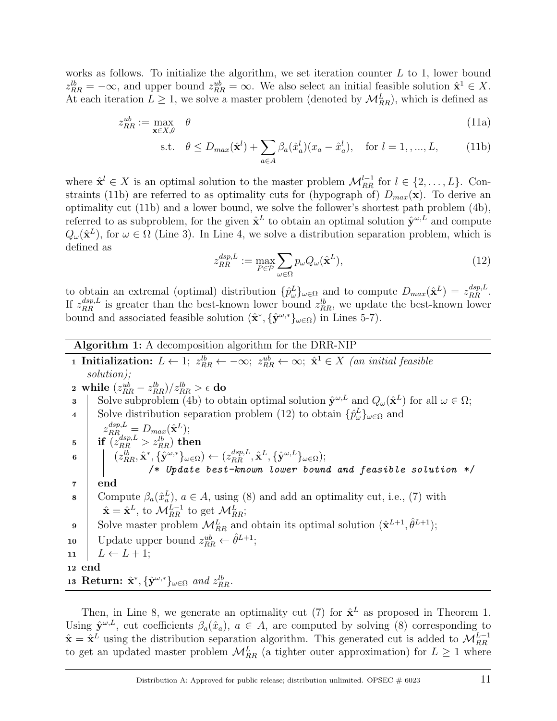works as follows. To initialize the algorithm, we set iteration counter  $L$  to 1, lower bound  $z_{RR}^{lb} = -\infty$ , and upper bound  $z_{RR}^{ub} = \infty$ . We also select an initial feasible solution  $\hat{\mathbf{x}}^1 \in X$ . At each iteration  $L \geq 1$ , we solve a master problem (denoted by  $\mathcal{M}_{RR}^L$ ), which is defined as

$$
z_{RR}^{ub} := \max_{\mathbf{x} \in X, \theta} \quad \theta \tag{11a}
$$

s.t. 
$$
\theta \le D_{max}(\hat{\mathbf{x}}^l) + \sum_{a \in A} \beta_a(\hat{x}_a^l)(x_a - \hat{x}_a^l), \text{ for } l = 1, ..., L,
$$
 (11b)

where  $\hat{\mathbf{x}}^l \in X$  is an optimal solution to the master problem  $\mathcal{M}_{RR}^{l-1}$  for  $l \in \{2, ..., L\}$ . Constraints (11b) are referred to as optimality cuts for (hypograph of)  $D_{max}(\mathbf{x})$ . To derive an optimality cut (11b) and a lower bound, we solve the follower's shortest path problem (4b), referred to as subproblem, for the given  $\hat{\mathbf{x}}^L$  to obtain an optimal solution  $\hat{\mathbf{y}}^{\omega,L}$  and compute  $Q_{\omega}(\hat{\mathbf{x}}^{L})$ , for  $\omega \in \Omega$  (Line 3). In Line 4, we solve a distribution separation problem, which is defined as

$$
z_{RR}^{dsp,L} := \max_{P \in \mathcal{P}} \sum_{\omega \in \Omega} p_{\omega} Q_{\omega}(\hat{\mathbf{x}}^L), \tag{12}
$$

to obtain an extremal (optimal) distribution  $\{\hat{p}_{\omega}^{L}\}_{\omega \in \Omega}$  and to compute  $D_{max}(\hat{\mathbf{x}}^{L}) = z_{RR}^{dsp,L}$ . If  $z_{RR}^{dsp,L}$  is greater than the best-known lower bound  $z_{RR}^{lb}$ , we update the best-known lower bound and associated feasible solution  $(\hat{\mathbf{x}}^*, {\hat{\mathbf{y}}^{\omega,*}}_{\omega \in \Omega})$  in Lines 5-7).

#### Algorithm 1: A decomposition algorithm for the DRR-NIP

1 Initialization:  $L \leftarrow 1$ ;  $z_{RR}^{lb} \leftarrow -\infty$ ;  $z_{RR}^{ub} \leftarrow \infty$ ;  $\hat{\mathbf{x}}^1 \in X$  (an initial feasible solution);  $\mathbf{a}\ \ \text{while} \ \ (z_{RR}^{ub} - z_{RR}^{lb})/z_{RR}^{lb} > \epsilon \ \mathbf{do}$ 3 Solve subproblem (4b) to obtain optimal solution  $\hat{\mathbf{y}}^{\omega,L}$  and  $Q_{\omega}(\hat{\mathbf{x}}^L)$  for all  $\omega \in \Omega$ ; 4 Solve distribution separation problem (12) to obtain  $\{\hat{p}^L_{\omega}\}_{{\omega}\in\Omega}$  and  $z_{RR}^{dsp,L} = D_{max}(\hat{\mathbf{x}}^L);$  $\mathbf{5}$  if  $\overline{z_{RR}^{dsp,L}} > z_{RR}^{lb}$  then  $\mathfrak{g} \quad \Big| \quad \Big( z_{RR}^{lb}, \hat{\mathbf{x}}^*, \{ \hat{\mathbf{y}}^{\omega,*} \}_{\omega \in \Omega} \Big) \leftarrow \big( z_{RR}^{dsp,L}, \hat{\mathbf{x}}^L, \{ \hat{\mathbf{y}}^{\omega,L} \}_{\omega \in \Omega} \big);$ /\* Update best-known lower bound and feasible solution \*/  $7 \mid end$ 8 Compute  $\beta_a(\hat{x}_a^L)$ ,  $a \in A$ , using (8) and add an optimality cut, i.e., (7) with  $\hat{\mathbf{x}} = \hat{\mathbf{x}}^L$ , to  $\mathcal{M}_{RR}^{L-1}$  to get  $\mathcal{M}_{RR}^L$ ; 9 Solve master problem  $\mathcal{M}_{RR}^L$  and obtain its optimal solution  $(\hat{\mathbf{x}}^{L+1}, \hat{\theta}^{L+1})$ ; 10 Update upper bound  $z_{RR}^{ub} \leftarrow \hat{\theta}^{L+1}$ ; 11  $L \leftarrow L + 1;$ <sup>12</sup> end 13 Return:  $\hat{\mathbf{x}}^*, \{\hat{\mathbf{y}}^{\omega,*}\}_{{\omega \in \Omega}}$  and  $z_{RR}^{lb}$ .

Then, in Line 8, we generate an optimality cut (7) for  $\hat{\mathbf{x}}^L$  as proposed in Theorem 1. Using  $\hat{\mathbf{y}}^{\omega,L}$ , cut coefficients  $\beta_a(\hat{x}_a)$ ,  $a \in A$ , are computed by solving (8) corresponding to  $\hat{\mathbf{x}} = \hat{\mathbf{x}}^L$  using the distribution separation algorithm. This generated cut is added to  $\mathcal{M}_{RR}^{L-1}$ to get an updated master problem  $\mathcal{M}_{RR}^L$  (a tighter outer approximation) for  $L \geq 1$  where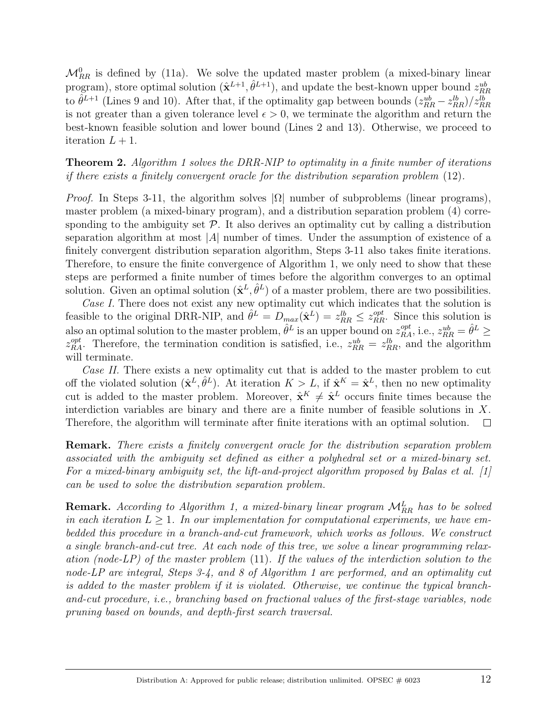$\mathcal{M}_{RR}^0$  is defined by (11a). We solve the updated master problem (a mixed-binary linear program), store optimal solution  $(\hat{\mathbf{x}}^{L+1}, \hat{\theta}^{L+1})$ , and update the best-known upper bound  $z_{RR}^{ub}$ to  $\hat{\theta}^{L+1}$  (Lines 9 and 10). After that, if the optimality gap between bounds  $(z_{RR}^{ub} - z_{RR}^{lb})/z_{RR}^{lb}$ is not greater than a given tolerance level  $\epsilon > 0$ , we terminate the algorithm and return the best-known feasible solution and lower bound (Lines 2 and 13). Otherwise, we proceed to iteration  $L + 1$ .

**Theorem 2.** Algorithm 1 solves the DRR-NIP to optimality in a finite number of iterations if there exists a finitely convergent oracle for the distribution separation problem (12).

*Proof.* In Steps 3-11, the algorithm solves  $|\Omega|$  number of subproblems (linear programs), master problem (a mixed-binary program), and a distribution separation problem (4) corresponding to the ambiguity set  $P$ . It also derives an optimality cut by calling a distribution separation algorithm at most  $|A|$  number of times. Under the assumption of existence of a finitely convergent distribution separation algorithm, Steps 3-11 also takes finite iterations. Therefore, to ensure the finite convergence of Algorithm 1, we only need to show that these steps are performed a finite number of times before the algorithm converges to an optimal solution. Given an optimal solution  $(\hat{\mathbf{x}}^L, \hat{\theta}^L)$  of a master problem, there are two possibilities.

Case I. There does not exist any new optimality cut which indicates that the solution is feasible to the original DRR-NIP, and  $\hat{\theta}^L = D_{max}(\hat{\mathbf{x}}^L) = z_{RR}^{lb} \leq z_{RR}^{opt}$ . Since this solution is also an optimal solution to the master problem,  $\hat{\theta}^L$  is an upper bound on  $z_{RA}^{opt}$ , i.e.,  $z_{RR}^{ub} = \hat{\theta}^L \geq$  $z_{RA}^{opt}$ . Therefore, the termination condition is satisfied, i.e.,  $z_{RR}^{ub} = z_{RR}^{lb}$ , and the algorithm will terminate.

Case II. There exists a new optimality cut that is added to the master problem to cut off the violated solution  $(\hat{\mathbf{x}}^L, \hat{\theta}^L)$ . At iteration  $K > L$ , if  $\hat{\mathbf{x}}^K = \hat{\mathbf{x}}^L$ , then no new optimality cut is added to the master problem. Moreover,  $\hat{\mathbf{x}}^K \neq \hat{\mathbf{x}}^L$  occurs finite times because the interdiction variables are binary and there are a finite number of feasible solutions in  $X$ . Therefore, the algorithm will terminate after finite iterations with an optimal solution.  $\Box$ 

Remark. There exists a finitely convergent oracle for the distribution separation problem associated with the ambiguity set defined as either a polyhedral set or a mixed-binary set. For a mixed-binary ambiguity set, the lift-and-project algorithm proposed by Balas et al. [1] can be used to solve the distribution separation problem.

**Remark.** According to Algorithm 1, a mixed-binary linear program  $\mathcal{M}_{RR}^L$  has to be solved in each iteration  $L \geq 1$ . In our implementation for computational experiments, we have embedded this procedure in a branch-and-cut framework, which works as follows. We construct a single branch-and-cut tree. At each node of this tree, we solve a linear programming relaxation (node-LP) of the master problem  $(11)$ . If the values of the interdiction solution to the node-LP are integral, Steps 3-4, and 8 of Algorithm 1 are performed, and an optimality cut is added to the master problem if it is violated. Otherwise, we continue the typical branchand-cut procedure, i.e., branching based on fractional values of the first-stage variables, node pruning based on bounds, and depth-first search traversal.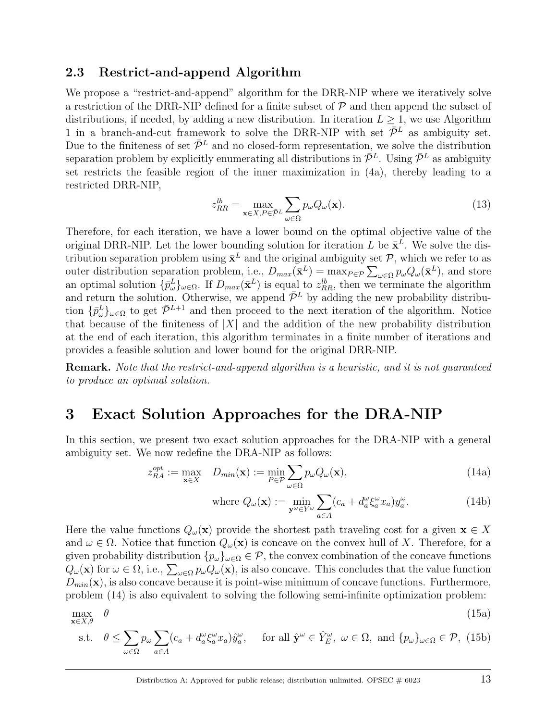#### 2.3 Restrict-and-append Algorithm

We propose a "restrict-and-append" algorithm for the DRR-NIP where we iteratively solve a restriction of the DRR-NIP defined for a finite subset of  $P$  and then append the subset of distributions, if needed, by adding a new distribution. In iteration  $L \geq 1$ , we use Algorithm 1 in a branch-and-cut framework to solve the DRR-NIP with set  $\bar{\mathcal{P}}^L$  as ambiguity set. Due to the finiteness of set  $\bar{\mathcal{P}}^L$  and no closed-form representation, we solve the distribution separation problem by explicitly enumerating all distributions in  $\bar{\mathcal{P}}^L$ . Using  $\bar{\mathcal{P}}^L$  as ambiguity set restricts the feasible region of the inner maximization in (4a), thereby leading to a restricted DRR-NIP,

$$
z_{RR}^{lb} = \max_{\mathbf{x} \in X, P \in \bar{\mathcal{P}}^L} \sum_{\omega \in \Omega} p_{\omega} Q_{\omega}(\mathbf{x}).
$$
\n(13)

Therefore, for each iteration, we have a lower bound on the optimal objective value of the original DRR-NIP. Let the lower bounding solution for iteration L be  $\bar{\mathbf{x}}^L$ . We solve the distribution separation problem using  $\bar{x}^L$  and the original ambiguity set  $P$ , which we refer to as outer distribution separation problem, i.e.,  $D_{max}(\bar{\mathbf{x}}^L) = \max_{P \in \mathcal{P}} \sum_{\omega \in \Omega} p_{\omega} Q_{\omega}(\bar{\mathbf{x}}^L)$ , and store an optimal solution  $\{\bar{p}_{\omega}^L\}_{\omega \in \Omega}$ . If  $D_{max}(\bar{\mathbf{x}}^L)$  is equal to  $z_{RR}^{\ell b}$ , then we terminate the algorithm and return the solution. Otherwise, we append  $\bar{\mathcal{P}}^L$  by adding the new probability distribution  $\{\bar{p}_{\omega}^L\}_{\omega \in \Omega}$  to get  $\bar{\mathcal{P}}^{L+1}$  and then proceed to the next iteration of the algorithm. Notice that because of the finiteness of  $|X|$  and the addition of the new probability distribution at the end of each iteration, this algorithm terminates in a finite number of iterations and provides a feasible solution and lower bound for the original DRR-NIP.

Remark. Note that the restrict-and-append algorithm is a heuristic, and it is not guaranteed to produce an optimal solution.

## 3 Exact Solution Approaches for the DRA-NIP

In this section, we present two exact solution approaches for the DRA-NIP with a general ambiguity set. We now redefine the DRA-NIP as follows:

$$
z_{RA}^{opt} := \max_{\mathbf{x} \in X} \quad D_{min}(\mathbf{x}) := \min_{P \in \mathcal{P}} \sum_{\omega \in \Omega} p_{\omega} Q_{\omega}(\mathbf{x}), \tag{14a}
$$

where 
$$
Q_{\omega}(\mathbf{x}) := \min_{\mathbf{y}^{\omega} \in Y^{\omega}} \sum_{a \in A} (c_a + d_a^{\omega} \xi_a^{\omega} x_a) y_a^{\omega}.
$$
 (14b)

Here the value functions  $Q_{\omega}(\mathbf{x})$  provide the shortest path traveling cost for a given  $\mathbf{x} \in X$ and  $\omega \in \Omega$ . Notice that function  $Q_{\omega}(\mathbf{x})$  is concave on the convex hull of X. Therefore, for a given probability distribution  $\{p_\omega\}_{\omega \in \Omega} \in \mathcal{P}$ , the convex combination of the concave functions  $Q_\omega(\mathbf{x})$  for  $\omega \in \Omega$ , i.e.,  $\sum_{\omega \in \Omega} p_\omega Q_\omega(\mathbf{x})$ , is also concave. This concludes that the value function  $D_{min}(\mathbf{x})$ , is also concave because it is point-wise minimum of concave functions. Furthermore, problem (14) is also equivalent to solving the following semi-infinite optimization problem:

$$
\max_{\mathbf{x}\in X,\theta} \theta \tag{15a}
$$

s.t. 
$$
\theta \le \sum_{\omega \in \Omega} p_{\omega} \sum_{a \in A} (c_a + d_a^{\omega} \xi_a^{\omega} x_a) \hat{y}_a^{\omega}, \quad \text{for all } \hat{\mathbf{y}}^{\omega} \in \hat{Y}_E^{\omega}, \ \omega \in \Omega, \text{ and } \{p_{\omega}\}_{\omega \in \Omega} \in \mathcal{P}, \ (15b)
$$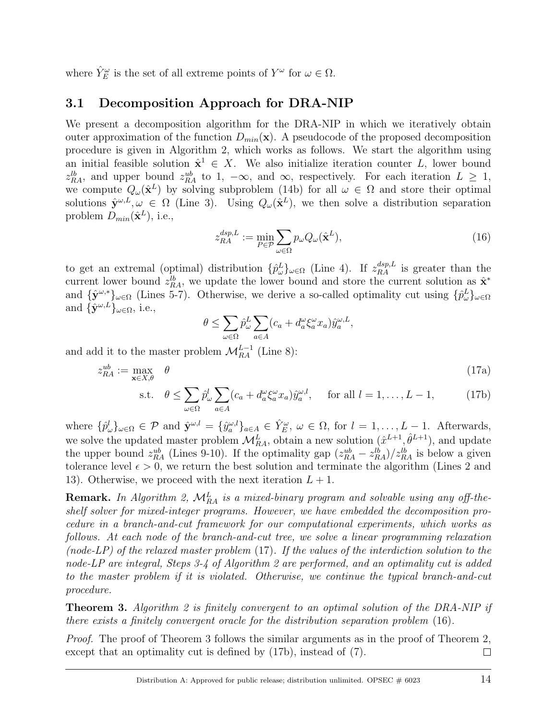where  $\hat{Y}^{\omega}_E$  is the set of all extreme points of  $Y^{\omega}$  for  $\omega \in \Omega$ .

#### 3.1 Decomposition Approach for DRA-NIP

We present a decomposition algorithm for the DRA-NIP in which we iteratively obtain outer approximation of the function  $D_{min}(\mathbf{x})$ . A pseudocode of the proposed decomposition procedure is given in Algorithm 2, which works as follows. We start the algorithm using an initial feasible solution  $\hat{\mathbf{x}}^1 \in X$ . We also initialize iteration counter L, lower bound  $z_{RA}^{lb}$ , and upper bound  $z_{RA}^{ub}$  to 1,  $-\infty$ , and  $\infty$ , respectively. For each iteration  $L \geq 1$ , we compute  $Q_{\omega}(\hat{\mathbf{x}}^L)$  by solving subproblem (14b) for all  $\omega \in \Omega$  and store their optimal solutions  $\hat{\mathbf{y}}^{\omega,L}, \omega \in \Omega$  (Line 3). Using  $Q_{\omega}(\hat{\mathbf{x}}^L)$ , we then solve a distribution separation problem  $D_{min}(\hat{\mathbf{x}}^L)$ , i.e.,

$$
z_{RA}^{dsp,L} := \min_{P \in \mathcal{P}} \sum_{\omega \in \Omega} p_{\omega} Q_{\omega}(\hat{\mathbf{x}}^L), \tag{16}
$$

to get an extremal (optimal) distribution  $\{\hat{p}^L_\omega\}_{\omega \in \Omega}$  (Line 4). If  $z_{RA}^{dsp,L}$  is greater than the current lower bound  $z_{RA}^{lb}$ , we update the lower bound and store the current solution as  $\hat{\mathbf{x}}^*$ and  $\{\hat{\mathbf{y}}^{\omega,*}\}_\omega \in \Omega$  (Lines 5-7). Otherwise, we derive a so-called optimality cut using  $\{\hat{p}_\omega^L\}_{\omega \in \Omega}$ and  $\{\hat{\mathbf{y}}^{\omega,L}\}_{\omega \in \Omega}$ , i.e.,

$$
\theta \leq \sum_{\omega \in \Omega} \hat{p}_{\omega}^{L} \sum_{a \in A} (c_a + d_a^{\omega} \xi_a^{\omega} x_a) \hat{y}_a^{\omega, L},
$$

and add it to the master problem  $\mathcal{M}_{RA}^{L-1}$  (Line 8):

$$
z_{RA}^{ub} := \max_{\mathbf{x} \in X, \theta} \quad \theta
$$
  
s.t. 
$$
\theta \le \sum_{\omega \in \Omega} \hat{p}_{\omega}^{l} \sum_{a \in A} (c_a + d_a^{\omega} \xi_a^{\omega} x_a) \hat{y}_a^{\omega, l}, \quad \text{for all } l = 1, ..., L - 1,
$$
 (17b)

where  $\{\hat{p}^l_{\omega}\}_{{\omega}\in\Omega} \in \mathcal{P}$  and  $\hat{\mathbf{y}}^{\omega,l} = \{\hat{y}^{\omega,l}_{{a}}\}_{{a}\in A} \in \hat{Y}^{\omega}_E$ ,  $\omega \in \Omega$ , for  $l = 1, \ldots, L-1$ . Afterwards, we solve the updated master problem  $\mathcal{M}_{RA}^L$ , obtain a new solution  $(\hat{x}^{L+1}, \hat{\theta}^{L+1})$ , and update the upper bound  $z_{RA}^{ub}$  (Lines 9-10). If the optimality gap  $(z_{RA}^{ub} - z_{RA}^{lb})/z_{RA}^{lb}$  is below a given tolerance level  $\epsilon > 0$ , we return the best solution and terminate the algorithm (Lines 2 and 13). Otherwise, we proceed with the next iteration  $L + 1$ .

**Remark.** In Algorithm 2,  $\mathcal{M}_{RA}^L$  is a mixed-binary program and solvable using any off-theshelf solver for mixed-integer programs. However, we have embedded the decomposition procedure in a branch-and-cut framework for our computational experiments, which works as follows. At each node of the branch-and-cut tree, we solve a linear programming relaxation (node-LP) of the relaxed master problem  $(17)$ . If the values of the interdiction solution to the node-LP are integral, Steps 3-4 of Algorithm 2 are performed, and an optimality cut is added to the master problem if it is violated. Otherwise, we continue the typical branch-and-cut procedure.

**Theorem 3.** Algorithm 2 is finitely convergent to an optimal solution of the DRA-NIP if there exists a finitely convergent oracle for the distribution separation problem (16).

Proof. The proof of Theorem 3 follows the similar arguments as in the proof of Theorem 2, except that an optimality cut is defined by (17b), instead of (7).  $\Box$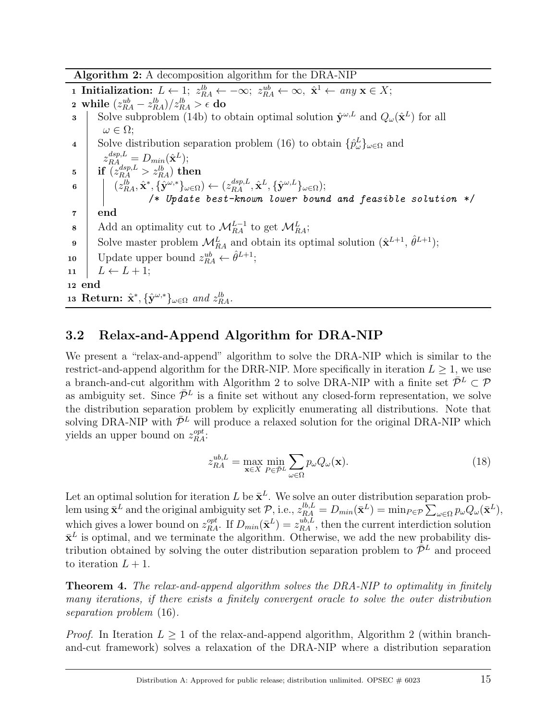Algorithm 2: A decomposition algorithm for the DRA-NIP

1 Initialization:  $L \leftarrow 1$ ;  $z_{RA}^{lb} \leftarrow -\infty$ ;  $z_{RA}^{ub} \leftarrow \infty$ ,  $\hat{\mathbf{x}}^1 \leftarrow any \mathbf{x} \in X$ ;  $\mathbf{a}\ \ \text{while} \ \ (z_{RA}^{ub} - z_{RA}^{lb})/z_{RA}^{lb} > \epsilon \ \mathbf{do}$ **3** Solve subproblem (14b) to obtain optimal solution  $\hat{\mathbf{y}}^{\omega,L}$  and  $Q_{\omega}(\hat{\mathbf{x}}^L)$  for all  $\omega \in \Omega;$ 4 Solve distribution separation problem (16) to obtain  $\{\hat{p}^L_{\omega}\}_{{\omega}\in\Omega}$  and  $z_{RA}^{dsp,L} = D_{min}(\hat{\mathbf{x}}^L);$  $\mathsf{is} \quad \big| \quad \text{if} \; \overset{\text{co}}{\text{if}} \; (z_{RA}^{dsp,L}>z_{RA}^{lb}) \text{ then}$  $\mathfrak{g} \quad \Big| \quad \big| \quad (z_{RA}^{lb}, \hat{\mathbf{x}}^*, \{\hat{\mathbf{y}}^{\omega,*}\}_{\omega \in \Omega}) \leftarrow (z_{RA}^{dsp,L}, \hat{\mathbf{x}}^L, \{\hat{\mathbf{y}}^{\omega,L}\}_{\omega \in \Omega});$ /\* Update best-known lower bound and feasible solution \*/  $7 \mid end$ 8 Add an optimality cut to  $\mathcal{M}_{RA}^{L-1}$  to get  $\mathcal{M}_{RA}^{L}$ ; 9 Solve master problem  $\mathcal{M}_{RA}^L$  and obtain its optimal solution  $(\hat{\mathbf{x}}^{L+1}, \hat{\theta}^{L+1})$ ; 10 Update upper bound  $z_{RA}^{ub} \leftarrow \hat{\theta}^{L+1}$ ; 11  $L \leftarrow L + 1$ ; <sup>12</sup> end 13 Return:  $\hat{\mathbf{x}}^*, \{\hat{\mathbf{y}}^{\omega,*}\}_{{\omega \in \Omega}}$  and  $z_{RA}^{lb}$ .

## 3.2 Relax-and-Append Algorithm for DRA-NIP

We present a "relax-and-append" algorithm to solve the DRA-NIP which is similar to the restrict-and-append algorithm for the DRR-NIP. More specifically in iteration  $L > 1$ , we use a branch-and-cut algorithm with Algorithm 2 to solve DRA-NIP with a finite set  $\bar{\mathcal{P}}^L \subset \mathcal{P}$ as ambiguity set. Since  $\bar{\mathcal{P}}^L$  is a finite set without any closed-form representation, we solve the distribution separation problem by explicitly enumerating all distributions. Note that solving DRA-NIP with  $\bar{\mathcal{P}}^L$  will produce a relaxed solution for the original DRA-NIP which yields an upper bound on  $z_{RA}^{opt}$ :

$$
z_{RA}^{ub,L} = \max_{\mathbf{x} \in X} \min_{P \in \bar{\mathcal{P}}^L} \sum_{\omega \in \Omega} p_{\omega} Q_{\omega}(\mathbf{x}). \tag{18}
$$

Let an optimal solution for iteration L be  $\bar{\mathbf{x}}^L$ . We solve an outer distribution separation problem using  $\bar{\mathbf{x}}^L$  and the original ambiguity set  $\mathcal{P}$ , i.e.,  $z_{RA}^{lb,L} = D_{min}(\bar{\mathbf{x}}^L) = \min_{P \in \mathcal{P}} \sum_{\omega \in \Omega} p_{\omega} Q_{\omega}(\bar{\mathbf{x}}^L)$ , which gives a lower bound on  $z_{RA}^{opt}$ . If  $D_{min}(\bar{\mathbf{x}}^L) = z_{RA}^{ub,L}$ , then the current interdiction solution  $\bar{\mathbf{x}}^L$  is optimal, and we terminate the algorithm. Otherwise, we add the new probability distribution obtained by solving the outer distribution separation problem to  $\bar{\mathcal{P}}^L$  and proceed to iteration  $L + 1$ .

**Theorem 4.** The relax-and-append algorithm solves the DRA-NIP to optimality in finitely many iterations, if there exists a finitely convergent oracle to solve the outer distribution separation problem (16).

*Proof.* In Iteration  $L \geq 1$  of the relax-and-append algorithm, Algorithm 2 (within branchand-cut framework) solves a relaxation of the DRA-NIP where a distribution separation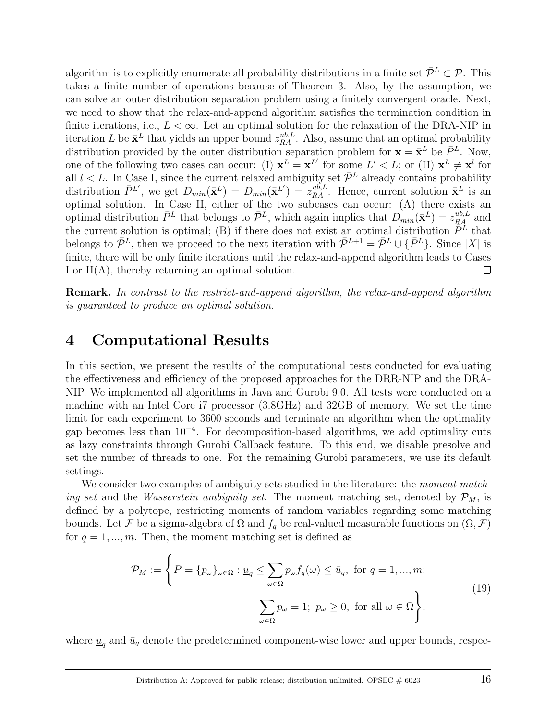algorithm is to explicitly enumerate all probability distributions in a finite set  $\bar{\mathcal{P}}^L \subset \mathcal{P}$ . This takes a finite number of operations because of Theorem 3. Also, by the assumption, we can solve an outer distribution separation problem using a finitely convergent oracle. Next, we need to show that the relax-and-append algorithm satisfies the termination condition in finite iterations, i.e.,  $L < \infty$ . Let an optimal solution for the relaxation of the DRA-NIP in iteration L be  $\bar{\mathbf{x}}^L$  that yields an upper bound  $z_{RA}^{ub,L}$ . Also, assume that an optimal probability distribution provided by the outer distribution separation problem for  $\mathbf{x} = \bar{\mathbf{x}}^L$  be  $\bar{P}^L$ . Now, one of the following two cases can occur: (I)  $\bar{\mathbf{x}}^L = \bar{\mathbf{x}}^{L'}$  for some  $L' < L$ ; or (II)  $\bar{\mathbf{x}}^L \neq \bar{\mathbf{x}}^l$  for all  $l < L$ . In Case I, since the current relaxed ambiguity set  $\bar{\mathcal{P}}^L$  already contains probability distribution  $\bar{P}^{L'}$ , we get  $D_{min}(\bar{\mathbf{x}}^{L'}) = D_{min}(\bar{\mathbf{x}}^{L'}) = z_{RA}^{ub,L}$ . Hence, current solution  $\bar{\mathbf{x}}^{L}$  is an optimal solution. In Case II, either of the two subcases can occur: (A) there exists an optimal distribution  $\bar{P}^L$  that belongs to  $\bar{\mathcal{P}}^L$ , which again implies that  $D_{min}(\bar{\mathbf{x}}^L) = z_{RA}^{ub,L}$  and the current solution is optimal; (B) if there does not exist an optimal distribution  $\tilde{P}^L$  that belongs to  $\bar{\mathcal{P}}^L$ , then we proceed to the next iteration with  $\bar{\mathcal{P}}^{L+1} = \bar{\mathcal{P}}^L \cup \{\bar{P}^L\}$ . Since |X| is finite, there will be only finite iterations until the relax-and-append algorithm leads to Cases I or II(A), thereby returning an optimal solution.  $\Box$ 

Remark. In contrast to the restrict-and-append algorithm, the relax-and-append algorithm is guaranteed to produce an optimal solution.

## 4 Computational Results

In this section, we present the results of the computational tests conducted for evaluating the effectiveness and efficiency of the proposed approaches for the DRR-NIP and the DRA-NIP. We implemented all algorithms in Java and Gurobi 9.0. All tests were conducted on a machine with an Intel Core i7 processor (3.8GHz) and 32GB of memory. We set the time limit for each experiment to 3600 seconds and terminate an algorithm when the optimality gap becomes less than 10<sup>-4</sup>. For decomposition-based algorithms, we add optimality cuts as lazy constraints through Gurobi Callback feature. To this end, we disable presolve and set the number of threads to one. For the remaining Gurobi parameters, we use its default settings.

We consider two examples of ambiguity sets studied in the literature: the *moment match*ing set and the *Wasserstein ambiguity set*. The moment matching set, denoted by  $\mathcal{P}_M$ , is defined by a polytope, restricting moments of random variables regarding some matching bounds. Let F be a sigma-algebra of  $\Omega$  and  $f_q$  be real-valued measurable functions on  $(\Omega, \mathcal{F})$ for  $q = 1, ..., m$ . Then, the moment matching set is defined as

$$
\mathcal{P}_M := \left\{ P = \{p_\omega\}_{\omega \in \Omega} : \underline{u}_q \le \sum_{\omega \in \Omega} p_\omega f_q(\omega) \le \bar{u}_q, \text{ for } q = 1, ..., m; \right\}
$$
\n
$$
\sum_{\omega \in \Omega} p_\omega = 1; \ p_\omega \ge 0, \text{ for all } \omega \in \Omega \right\},\tag{19}
$$

where  $\underline{u}_q$  and  $\bar{u}_q$  denote the predetermined component-wise lower and upper bounds, respec-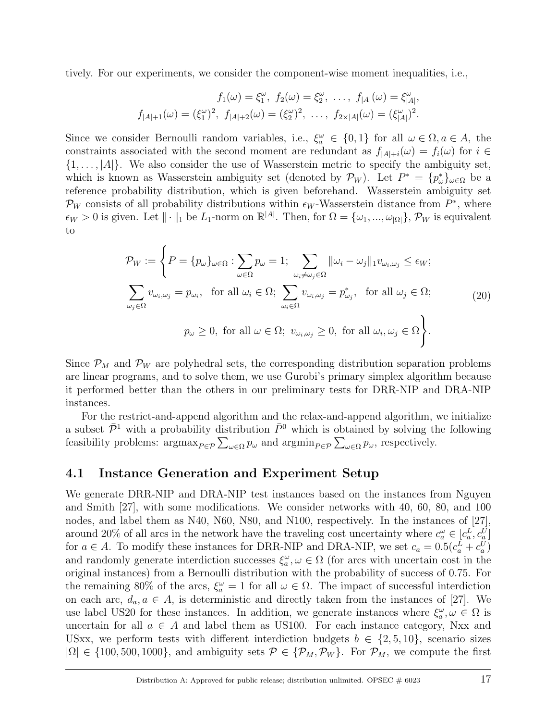tively. For our experiments, we consider the component-wise moment inequalities, i.e.,

$$
f_1(\omega) = \xi_1^{\omega}, \ f_2(\omega) = \xi_2^{\omega}, \ \dots, \ f_{|A|}(\omega) = \xi_{|A|}^{\omega},
$$

$$
f_{|A|+1}(\omega) = (\xi_1^{\omega})^2, \ f_{|A|+2}(\omega) = (\xi_2^{\omega})^2, \ \dots, \ f_{2 \times |A|}(\omega) = (\xi_{|A|}^{\omega})^2.
$$

Since we consider Bernoulli random variables, i.e.,  $\xi_a^{\omega} \in \{0,1\}$  for all  $\omega \in \Omega, a \in A$ , the constraints associated with the second moment are redundant as  $f_{|A|+i}(\omega) = f_i(\omega)$  for  $i \in$  $\{1, \ldots, |A|\}$ . We also consider the use of Wasserstein metric to specify the ambiguity set, which is known as Wasserstein ambiguity set (denoted by  $\mathcal{P}_W$ ). Let  $P^* = \{p^*_{\omega}\}_{{\omega \in \Omega}}$  be a reference probability distribution, which is given beforehand. Wasserstein ambiguity set  $\mathcal{P}_W$  consists of all probability distributions within  $\epsilon_W$ -Wasserstein distance from  $P^*$ , where  $\epsilon_W > 0$  is given. Let  $\|\cdot\|_1$  be  $L_1$ -norm on  $\mathbb{R}^{|A|}$ . Then, for  $\Omega = {\{\omega_1, ..., \omega_{|\Omega|}\}}$ ,  $\mathcal{P}_W$  is equivalent to

$$
\mathcal{P}_W := \left\{ P = \{p_\omega\}_{\omega \in \Omega} : \sum_{\omega \in \Omega} p_\omega = 1; \sum_{\omega_i \neq \omega_j \in \Omega} ||\omega_i - \omega_j||_1 v_{\omega_i, \omega_j} \leq \epsilon_W; \right\}
$$
  

$$
\sum_{\omega_j \in \Omega} v_{\omega_i, \omega_j} = p_{\omega_i}, \text{ for all } \omega_i \in \Omega; \sum_{\omega_i \in \Omega} v_{\omega_i, \omega_j} = p_{\omega_j}^*, \text{ for all } \omega_j \in \Omega; \right\}
$$
  

$$
p_\omega \geq 0, \text{ for all } \omega \in \Omega; v_{\omega_i, \omega_j} \geq 0, \text{ for all } \omega_i, \omega_j \in \Omega \right\}.
$$
 (20)

Since  $\mathcal{P}_M$  and  $\mathcal{P}_W$  are polyhedral sets, the corresponding distribution separation problems are linear programs, and to solve them, we use Gurobi's primary simplex algorithm because it performed better than the others in our preliminary tests for DRR-NIP and DRA-NIP instances.

For the restrict-and-append algorithm and the relax-and-append algorithm, we initialize a subset  $\bar{\mathcal{P}}^1$  with a probability distribution  $\bar{P}^0$  which is obtained by solving the following feasibility problems:  $\operatorname{argmax}_{P \in \mathcal{P}} \sum_{\omega \in \Omega} p_{\omega}$  and  $\operatorname{argmin}_{P \in \mathcal{P}} \sum_{\omega \in \Omega} p_{\omega}$ , respectively.

#### 4.1 Instance Generation and Experiment Setup

We generate DRR-NIP and DRA-NIP test instances based on the instances from Nguyen and Smith [27], with some modifications. We consider networks with 40, 60, 80, and 100 nodes, and label them as N40, N60, N80, and N100, respectively. In the instances of [27], around 20% of all arcs in the network have the traveling cost uncertainty where  $c_a^{\omega} \in [c_a^L, c_a^U]$ for  $a \in A$ . To modify these instances for DRR-NIP and DRA-NIP, we set  $c_a = 0.5(c_a^L + c_a^U)$ and randomly generate interdiction successes  $\xi_a^{\omega}, \omega \in \Omega$  (for arcs with uncertain cost in the original instances) from a Bernoulli distribution with the probability of success of 0.75. For the remaining 80% of the arcs,  $\xi_a^{\omega} = 1$  for all  $\omega \in \Omega$ . The impact of successful interdiction on each arc,  $d_a, a \in A$ , is deterministic and directly taken from the instances of [27]. We use label US20 for these instances. In addition, we generate instances where  $\xi_a^{\omega}, \omega \in \Omega$  is uncertain for all  $a \in A$  and label them as US100. For each instance category, Nxx and USxx, we perform tests with different interdiction budgets  $b \in \{2, 5, 10\}$ , scenario sizes  $|\Omega| \in \{100, 500, 1000\}$ , and ambiguity sets  $\mathcal{P} \in \{\mathcal{P}_M, \mathcal{P}_W\}$ . For  $\mathcal{P}_M$ , we compute the first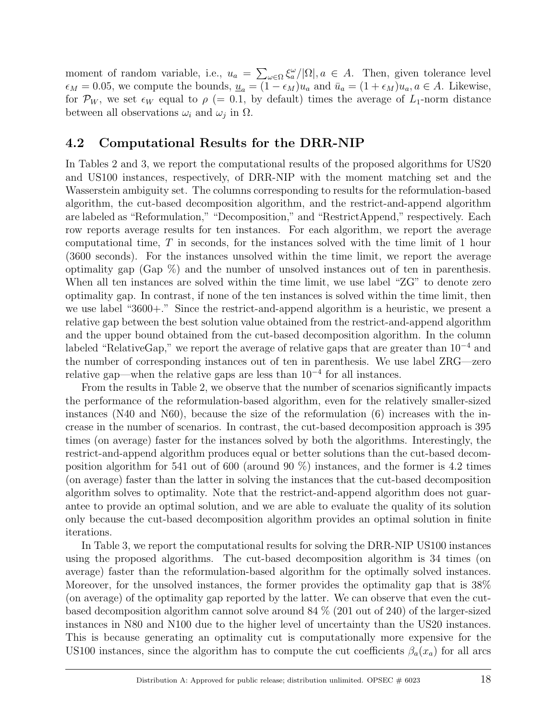moment of random variable, i.e.,  $u_a = \sum_{\omega \in \Omega} \xi_a^{\omega} / |\Omega|, a \in A$ . Then, given tolerance level  $\epsilon_M = 0.05$ , we compute the bounds,  $\underline{u}_a = (1 - \epsilon_M)u_a$  and  $\overline{u}_a = (1 + \epsilon_M)u_a$ ,  $a \in A$ . Likewise, for  $\mathcal{P}_W$ , we set  $\epsilon_W$  equal to  $\rho$  (= 0.1, by default) times the average of  $L_1$ -norm distance between all observations  $\omega_i$  and  $\omega_j$  in  $\Omega$ .

### 4.2 Computational Results for the DRR-NIP

In Tables 2 and 3, we report the computational results of the proposed algorithms for US20 and US100 instances, respectively, of DRR-NIP with the moment matching set and the Wasserstein ambiguity set. The columns corresponding to results for the reformulation-based algorithm, the cut-based decomposition algorithm, and the restrict-and-append algorithm are labeled as "Reformulation," "Decomposition," and "RestrictAppend," respectively. Each row reports average results for ten instances. For each algorithm, we report the average computational time, T in seconds, for the instances solved with the time limit of 1 hour (3600 seconds). For the instances unsolved within the time limit, we report the average optimality gap (Gap %) and the number of unsolved instances out of ten in parenthesis. When all ten instances are solved within the time limit, we use label "ZG" to denote zero optimality gap. In contrast, if none of the ten instances is solved within the time limit, then we use label "3600+." Since the restrict-and-append algorithm is a heuristic, we present a relative gap between the best solution value obtained from the restrict-and-append algorithm and the upper bound obtained from the cut-based decomposition algorithm. In the column labeled "RelativeGap," we report the average of relative gaps that are greater than 10<sup>−</sup><sup>4</sup> and the number of corresponding instances out of ten in parenthesis. We use label ZRG—zero relative gap—when the relative gaps are less than  $10^{-4}$  for all instances.

From the results in Table 2, we observe that the number of scenarios significantly impacts the performance of the reformulation-based algorithm, even for the relatively smaller-sized instances (N40 and N60), because the size of the reformulation (6) increases with the increase in the number of scenarios. In contrast, the cut-based decomposition approach is 395 times (on average) faster for the instances solved by both the algorithms. Interestingly, the restrict-and-append algorithm produces equal or better solutions than the cut-based decomposition algorithm for 541 out of 600 (around 90 %) instances, and the former is 4.2 times (on average) faster than the latter in solving the instances that the cut-based decomposition algorithm solves to optimality. Note that the restrict-and-append algorithm does not guarantee to provide an optimal solution, and we are able to evaluate the quality of its solution only because the cut-based decomposition algorithm provides an optimal solution in finite iterations.

In Table 3, we report the computational results for solving the DRR-NIP US100 instances using the proposed algorithms. The cut-based decomposition algorithm is 34 times (on average) faster than the reformulation-based algorithm for the optimally solved instances. Moreover, for the unsolved instances, the former provides the optimality gap that is 38% (on average) of the optimality gap reported by the latter. We can observe that even the cutbased decomposition algorithm cannot solve around 84 % (201 out of 240) of the larger-sized instances in N80 and N100 due to the higher level of uncertainty than the US20 instances. This is because generating an optimality cut is computationally more expensive for the US100 instances, since the algorithm has to compute the cut coefficients  $\beta_a(x_a)$  for all arcs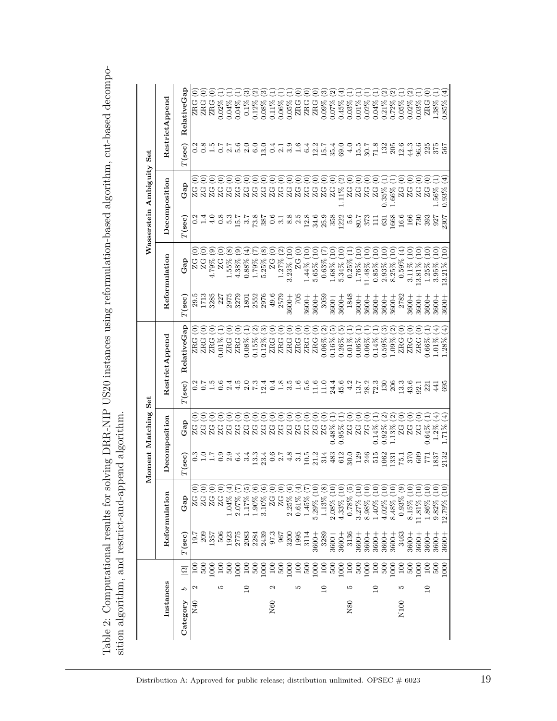| I<br>the hood of contraction on the hood<br>I<br>ĺ<br>I<br>$\vdots$<br>İ<br>֧֧֦֧֚֚֚֚֚֚֚֚֚֚֚֚֚֚֚֚֬֡֡֡֡֡֡֡֬֝֬֝֬<br>ことら こここ<br>( ) にっぽうこう                                                                                                                |                                                                                                                                    |
|-------------------------------------------------------------------------------------------------------------------------------------------------------------------------------------------------------------------------------------------------------|------------------------------------------------------------------------------------------------------------------------------------|
| ココココココ<br>てき トラック<br>$\frac{1}{2}$<br>I<br>֧֧ׅ֧ׅ֧֧֧֧֧ׅ֧ׅ֧֧֛֚֚֚֚֚֚֚֚֚֚֚֚֚֚֚֚֝֝֜֝֓֝֓֝֓֝֬֜֜֜<br> <br> <br> }<br>i<br>Si<br>֧֧֧֧֧֧֧֧֧֧֧֧֧ׅ֧֧֧֛֧֧ׅ֧֧֧֧֧֧֧֛֛֚֚֝֓֓֓֝֓֝֬֓֓֝֓֓֝֬֝֓֝֬֓֝֬֝֬֝֬֝֬֝֬֝֬֬֜֓֬֬֝֓֬֬֜֓֬֬֜֓֬֬֝֬֬֬֜<br>$\ddot{\cdot}$<br>(<br>֞֘<br>.<br>C | l<br>י<br>יייר ל<br>٢<br>٤<br>ł<br>$\sim$ $\sim$ $\sim$ $\sim$<br>l<br>-<br>3<br>3<br>ì<br>htion almost him and root met<br>;<br>; |
| ノーン・コー<br>I                                                                                                                                                                                                                                           |                                                                                                                                    |

|              |                 |                  |                   |                                                                                |                        | Moment Matching Set                   |                                           |                                      |                   |                                                                               |                      | Wasserstein Ambiguity Set  |                                           |                            |
|--------------|-----------------|------------------|-------------------|--------------------------------------------------------------------------------|------------------------|---------------------------------------|-------------------------------------------|--------------------------------------|-------------------|-------------------------------------------------------------------------------|----------------------|----------------------------|-------------------------------------------|----------------------------|
| Instances    |                 |                  | Reformulation     |                                                                                |                        | Decomposition                         |                                           | Restrict Append                      |                   | Reformulation                                                                 |                      | Decomposition              |                                           | Restrict Append            |
| Category     | q               | $\overline{S}$   | $T(\mathbf{sec})$ | Gap                                                                            | $T(\rm sec)$           | Gap                                   | $T(\sf sec)$                              | RelativeGap                          | $T(\mathbf{sec})$ | Gap                                                                           | $T(\mathbf{sec})$    | Gap                        | $T(\mathbf{sec})$                         | RelativeGap                |
| $_{\rm N40}$ |                 | $\frac{8}{1}$    | $\frac{19}{1}$    | ZG                                                                             |                        | S<br>$_{\rm ZG}$                      |                                           | S<br>ZRG                             |                   | ZG                                                                            |                      | ē<br>ZG                    | 0.2                                       | ව<br>ZR <sub>G</sub>       |
|              |                 | 500              | 209               | $ZG$                                                                           | 3.95<br>2.17           |                                       |                                           | Θ<br>ZRG                             | 29.5<br>1713      | <u>වෙ</u><br>ZG                                                               | 0.4                  | O<br>ZG                    |                                           | Ξ<br>ZR <sub>G</sub>       |
|              |                 | 1000             | 1357              |                                                                                |                        | êg<br><b>ZG</b><br>25                 | 0.756                                     | $\widetilde{\Theta}$<br>ZRG          | 3285              | $\odot$<br>79%                                                                | 4.0                  | $\widehat{\Theta}$<br>ZG   |                                           | Ó<br><b>ZRG</b>            |
|              | Ю               | $\frac{5}{2}$    | 506               | ZG                                                                             | 0.9                    | ြ<br>ZG                               |                                           | $0.01\%$                             | 227               | Θ<br>ZG                                                                       |                      | $\widetilde{\Theta}$<br>ZG |                                           | 0.02%                      |
|              |                 | 500              | 1923              | 1.04%                                                                          | $\frac{9}{6}$ .4       | 99<br>ZG                              | 2.4                                       | Ξ<br>ZRG                             | 2975              | $\circledast$<br>1.55%                                                        |                      | ⊝<br>ZG                    | 2.7                                       | 0.04%                      |
|              |                 | 000              | 2775              | 2.07%                                                                          |                        | ZG                                    | 4.5                                       | T<br>ZRG                             | 3279              | ම<br>4.38%                                                                    |                      | ⊝<br>ZG                    | 5.6                                       | 0.04%                      |
|              | $\overline{10}$ | $^{100}$         | 2083              | $1.17\%$                                                                       | 3.4                    | $\widehat{\circ}$<br>ZG               | $\frac{0}{7}$ .3                          | Ξ<br>$0.08\%$                        | 1801              | Ð<br>$0.88\%$                                                                 |                      | ⊝<br>ZG                    | 2.0                                       | ಣ<br>$0.1\%$               |
|              |                 | 500              | 2284              | 1.90%                                                                          | 13.3                   | O<br>ZG                               |                                           | $\mathfrak{S}$<br>$0.15\%$           | 2552<br>2976      | $\Xi$<br>1.79%                                                                |                      | 66<br>ZG                   | 6.0                                       | $\omega$<br>$0.12\%$       |
|              |                 | 000              | 2439              | 3.10%                                                                          | 23.4                   | O<br>ZG<br>ZG                         | 12.4                                      | 0.12%                                |                   | $\circledast$<br>5.25%                                                        |                      | ZG                         | 13.0                                      | ್ರ<br>$0.08\%$             |
| N60          | N               | $\overline{100}$ | 97.3              |                                                                                |                        | O                                     | 0.4                                       | $\odot$<br><b>ZRG</b>                | 49.6              | T<br>$\overline{C}$                                                           |                      | ⊝<br>ZG                    | 0.4                                       | H<br>$0.11\%$              |
|              |                 | 500              | 967               | $\mathop{\rm GC}\limits_{\bf Z}$                                               |                        | O<br>$\frac{C}{N}$                    | 1.8                                       | O<br>ZRG                             | 2579              | $\widehat{\mathfrak{D}}$<br>$1.27\%$                                          |                      | Õ<br>ZG                    | $\overline{a}$                            | H,<br>$0.06\%$             |
|              |                 | 000              | 3200              | $2.25\%$ ( $\ell$                                                              |                        | Ó                                     |                                           | Ô<br>ZRG                             | 3600+             | $\Xi$<br>$3.23\%$                                                             |                      | $\bar{\bullet}$<br>ZG      | 3.9                                       | H,<br>0.05%                |
|              | Ľ               | $\overline{100}$ | 1995              | $0.61\%$                                                                       | $0.787192$<br>$0.4927$ | Ō<br><b>22222</b>                     | 1.6                                       | $\widehat{\in}$<br>ZRG               | 507               | S<br>ZG                                                                       |                      | $\bar{\bullet}$<br>ZG      | 1.6                                       | $\rm \dot{\rm e}$<br>ZRG   |
|              |                 | 500              | 3114              | 1.45%                                                                          |                        | $\left($ o $\right)$                  |                                           | Ô<br>ZRG                             | 3600+             | $\widetilde{\mathsf{P}}$<br>$1.44\%$ (                                        |                      | Ō<br>ZG                    | 6.4                                       | ್ರ<br><b>ZRG</b>           |
|              |                 | 000              | 3600+             | $5.29\%$ (10                                                                   |                        | Ó                                     | $\frac{11.6}{11.0}$                       | T<br>ZRG                             | 3600+             | $\widetilde{\Xi}$<br>5.65%                                                    |                      | Ō<br>ZG                    |                                           | O<br>ZR <sub>G</sub>       |
|              | $\overline{10}$ | 100              | 3289              | $1.13\%$ (8)                                                                   | 314                    | $\left( \bigcirc \right)$             |                                           | $\widehat{\mathfrak{D}}$<br>$0.06\%$ | 3059              | E<br>0.63%                                                                    |                      | ز)<br>ZG                   | $12.7$<br>$15.4$<br>$35.4$                | ్ర<br>0.09%                |
|              |                 | 500              | 3600+             | $2.08\%$ (10                                                                   | 483                    | Ξ.<br>$0.48\%$                        | 24.4                                      | $\widetilde{\mathbb{P}}$<br>$0.16\%$ | 3600+             | $\Xi$<br>$1.68\%$ (<br>5.34% (                                                |                      | ê<br>ZG                    |                                           | $\omega$<br>0.07%          |
|              |                 | 1000             | 3600+             | 4.33% (10                                                                      | 612                    | Ξ<br>$0.95\%$                         | 45.6                                      | $\widetilde{5}$<br>$0.26\%$          | $3600 +$          | $\Xi$                                                                         |                      | $[\alpha]$<br>11%          | 69.0                                      | €<br>$0.45\%$              |
| N80          | Ğ               | 100              | 3136              | $0.78\%$ (5                                                                    | 30.0                   | Ξ                                     |                                           | H<br>$0.01\%$                        | 1848              | Ξ<br>$0.25\%$                                                                 |                      | S<br>ZG<br>ZG              |                                           | H.<br>$0.03\%$             |
|              |                 | 500              | $3600 +$          | $\epsilon$<br>3.27%                                                            | 129                    | T                                     |                                           | H,<br>$0.06\%$                       | $3600 +$          | $\Xi$<br>1.76%                                                                |                      | ê                          |                                           | H,<br>$0.01\%$             |
|              |                 | 1000             | 3600+             | $\Xi$<br>$8.98\%$                                                              | 246<br>515             | O                                     | $4.2$<br>$4.3$<br>$2.3$<br>$7.3$<br>$7.3$ | ۳<br>$0.06\%$                        | $3600 +$          | $\Xi$<br>1.48%                                                                |                      | ίS<br>ZG                   | $-15.78$<br>$-1.38$<br>$-1.38$<br>$-1.38$ | H,<br>$0.02\%$             |
|              | $\overline{10}$ | 100              | 3600+             | $\Xi$<br>$1.40\%$ (                                                            |                        | Ξ<br>$0.14\%$                         |                                           | ۳<br>$0.14\%$                        | 3600+             | $\left  \begin{smallmatrix} 1\ 0 \end{smallmatrix} \right\rangle$<br>$0.85\%$ |                      | ê<br>ZG                    |                                           | H<br>$0.04\%$              |
|              |                 | 500              | 3600+             | $\Xi$<br>$4.02\%$ (                                                            | 1062                   | $\Omega$ ମ୍<br>$0.92\%$               | $\frac{130}{206}$                         | $\widehat{\mathfrak{G}}$<br>$0.59\%$ | $3600 +$          | $\Xi$<br>$2.93\%$                                                             | 631                  | ز ہے:<br>ر<br>35%          |                                           | $\omega$<br>$0.21\%$       |
|              |                 | 1000             | 3600+             | E<br>8.48%                                                                     | 1331                   | 1.13%                                 |                                           | $\widetilde{\omega}$<br>$1.09\%$     | 3600+             | $\Xi$<br>$8.25\%$                                                             | 1668<br>16.6<br>1730 | Ξ<br>$66\%$                |                                           | $\mathfrak{a}$<br>$0.72\%$ |
| N100         | LO              | 100              | 3463              | $0.93\%$ (9                                                                    | 75.1                   | T<br><b>2222</b><br>2222              | n 3<br>13 2<br>32 1                       | S<br>ZRG                             | 2782              | $\left( \overline{4}\right)$<br>0.59%                                         |                      | Ō                          | $13.300$<br>$44.6$                        | $0.05\%$                   |
|              |                 | 500              | $3600 +$          | ЭC<br>$8.15\%$                                                                 | 370                    | $\widehat{\in}$                       |                                           | S<br>ZRG                             | 3600+             | $\Xi$<br>$3.11\%$                                                             |                      | ê                          |                                           | $\mathfrak{a}$<br>$0.02\%$ |
|              |                 | 1000             | 3600+             | $\Xi$                                                                          | 609                    | $\widehat{\in}$                       |                                           | Ξ<br>ZRG                             | 3600+             | $\Xi$<br>$.3.81\%$                                                            |                      | ز)<br><b>22222</b>         |                                           | 0.03%                      |
|              | $\overline{a}$  | 100              | 3600+             | $\Xi$<br>$\begin{array}{c} 11.81\% \\ 1.86\% \\ 9.82\% \\ 12.79\% \end{array}$ | 57                     | Ē<br>0.64%                            | 221                                       | Ξ<br>$0.66\%$                        | 3600+             | $\Xi$<br>$1.25\%$                                                             | 393                  | ز)                         | 225<br>375<br>567                         | ZRG                        |
|              |                 | 500              | 3600+             | E                                                                              | 1837                   | $\left(\frac{4}{3}\right)$<br>$1.2\%$ | $\overline{41}$                           | E)<br>$1.01\%$                       | 3600+             | $\Xi$<br>$3.95\%$                                                             | 927<br>2307          | ۳<br>$.56\%$               |                                           | $1.38\%$                   |
|              |                 | $\frac{8}{2}$    | 3600+             | $\Xi$                                                                          | 2132                   | Ê<br>1.71%                            | 695                                       | $\widehat{A}$<br>1.28%               | 3600+             | ÖĽ,<br>$13.21\%$                                                              |                      | Ŧ,<br>$0.93\%$             |                                           | Ê<br>$0.85\%$              |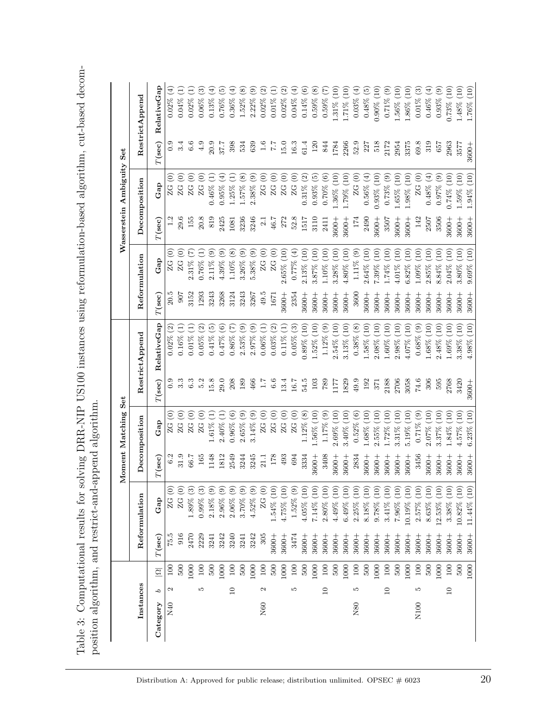Table 3: Computational results for solving DRR-NIP US100 instances using reformulation-based algorithm, cut-based decom-Table 3: Computational results for solving DRR-NIP US100 instances using reformulation-based algorithm, cut-based decomposition algorithm, and restrict-and-append algorithm. position algorithm, and restrict-and-append algorithm.

|           |                   |                     |           |                              |                   | Moment Matching Set                   |               |                                      |           |                                  |                   | Wasserstein Ambiguity Set            |           |                                 |
|-----------|-------------------|---------------------|-----------|------------------------------|-------------------|---------------------------------------|---------------|--------------------------------------|-----------|----------------------------------|-------------------|--------------------------------------|-----------|---------------------------------|
| Instances |                   |                     |           | Reformulation                |                   | Decomposition                         |               | Restrict Append                      |           | Reformulation                    |                   | Decomposition                        |           | Restrict Append                 |
| Category  | q                 | $\overline{\Omega}$ | $T$ (sec) | Gap                          | $T(\mathbf{sec})$ | Ga <sub>p</sub>                       | $T$ (sec)     | RelativeGap                          | $T$ (sec) | $\mathbf{G}\mathbf{a}\mathbf{p}$ | $T(\mathbf{sec})$ | Gap                                  | $T$ (sec) | RelativeGap                     |
| N40       | $\mathbf{\Omega}$ | $\frac{100}{2}$     | 75.5      | $\odot$<br>ZG                | 6.2               | $\odot$<br>ZG                         | 0.9           | $0.02\%$ (2)                         | 20.5      | $\widehat{\circ}$<br>ZG          |                   | $\widehat{\circ}$<br>ZG              | 0.9       | $0.02\%$ (4)                    |
|           |                   | 500                 | 916       | $\odot$<br>ZG                | 31.9              | $\widehat{\circ}$<br>ZG               |               | Ξ<br>0.16%                           | 907       | $\widehat{\Theta}$<br>ZG         | 29.6              | $\widehat{\circ}$<br>ZG              |           | $0.04\%$                        |
|           |                   | 1000                | 2470      | $1.89\%$ (3)                 | 66.7              | T<br>ZG                               | 6.3           | Ξ<br>$0.01\%$                        | 3152      | E<br>2.31%                       | 155               | T<br>ZG                              | 6.6       | $0.02\%$                        |
|           | r.                | 100                 | 2229      | $\binom{3}{2}$<br>0.99%      | 165               | T<br>$\frac{C}{C}$                    | 5.2           | $\widehat{\Omega}$<br>0.05%          | 1293      | E<br>$0.76\%$                    | 20.8              | T<br>$\overline{C}$                  | 4.9       | ව<br>$0.06\%$                   |
|           |                   | 500                 | 3241      | $\circledcirc$<br>$2.18\%$   | 1148              | $\widehat{\Xi}$<br>$1.61\%$           | 15.8          | $\widetilde{\mathbb{E}}$<br>$0.41\%$ | 3243      | $\odot$<br>$2.11\%$              | 819               | Ξ<br>0.46%                           | 20.9      | $\widehat{\mathbb{F}}$<br>0.13% |
|           |                   | 1000                | 3242      | $2.96\%$ (9)                 | 1812              | E<br>$2.40\%$                         | 29.0          | $\widehat{\circ}$<br>$0.47\%$        | 3268      | 4.39% (9)                        | 2425              | $\bigoplus$<br>0.95%                 | 37.7      | $\widehat{\mathbb{E}}$<br>0.76% |
|           | $\Box$            | 100                 | 3240      | $2.06\%$ (9)                 | 2549              | $\odot$<br>$0.96\%$                   | 208           | E<br>$0.86\%$                        | 3124      | $1.10\%$ (8)                     | 1081              | Ξ<br>1.25%                           | 398       | $0.36\%$ (4)                    |
|           |                   | 500                 | 3241      | 3.70% (9)                    | 3244              | $2.65\%$ (9)                          | 189           | $\circledcirc$<br>2.53%              | 3243      | $3.26\%$ (9)                     | 3236              | $\circledast$<br>1.57%               | 534       | 1.52% (8)                       |
|           |                   | 1000                | 3242      | $4.52\%$ (9)                 | 3245              | $\odot$<br>$3.14\%$                   | 466           | $2.97\%$ (9)                         | 3267      | $5.38\%$ (9)                     | 3246              | $\widehat{e}$<br>$2.38\%$            | 639       | $2.22\%$ (9)                    |
| N60       | Z                 | 100                 | 305       | ${\bf ZG}$ (0)               | 21.1              | $\widehat{\circ}$<br>С<br>N           | $\frac{1}{1}$ | Ξ<br>$0.06\%$                        | 49.5      | ZG(0)                            | $\frac{1}{2}$     | $\widehat{\in}$<br>$\frac{C}{N}$     | 1.6       | $\widehat{\Omega}$<br>0.02%     |
|           |                   | 500                 | $3600 +$  | 1.54% (10)                   | 178               | $\widehat{\circ}$<br>ZG               | 6.6           | $0.03\%$ (2)                         | 1671      | ${\rm ZG}$ (0)                   | 46.7              | $\widehat{\circ}$<br>$\overline{C}$  | 7.7       | $0.01\%$                        |
|           |                   | 1000                | $3600 +$  | 4.75% (10)                   | 493               | $\widehat{\circ}$<br>$\overline{Z}$ C | 13.4          | $0.11\%$ (1)                         | 3600+     | 2.65% (10)                       | 272               | $\odot$<br>$\frac{C}{C}$             | 15.0      | ି<br>0.02%                      |
|           | S                 | $100\,$             | 3474      | $1.52\%$ (9)                 | 694               | $ZG\ (0)$                             | 16.7          | $0.05\%$ (3)                         | 2354      | $0.77\%$ (4)                     | 52.8              | $\widehat{\circ}$<br>ZG              | 16.3      | $\bigoplus$<br>$0.04\%$         |
|           |                   | 500                 | $3600 +$  | $4.05\%$ (10)                | 3334              | $1.12\%$ (8)                          | 54.5          | $0.89\%$ (10)                        | 3600+     | 2.13% (10)                       | 1517              | $\widehat{\mathfrak{D}}$<br>$0.31\%$ | 61.4      | $0.14\%$ (6)                    |
|           |                   | 1000                | $3600 +$  | $7.14\%$ $(10)$              | $3600 +$          | $1.56\%$ (10)                         | 103           | 1.52% (10)                           | 3600+     | (10)<br>3.87%                    | 3110              | $0.93\%$ (5)                         | 120       | $0.59\%$ (8)                    |
|           | $\Box$            | 100                 | $3600 +$  | $2.80\%$ (10)                | 3408              | $1.17\%$ (9)                          | 789           | $1.12\%$ (9)                         | 3600+     | $1.10\%$ (10)                    | 2411              | $0.70\%$ (6)                         | 844       | $0.59\%$ (7)                    |
|           |                   | 500                 | 3600+     | $4.49\%$ (10)                | $3600 +$          | $2.69\%$ (10)                         | ללנו          | 2.54% (10)                           | 3600+     | 3.28% (10)                       | 3600+             | $.36\%$ (10)                         | 1784      | $1.31\%$ (10)                   |
|           |                   | 1000                | $3600 +$  | 6.49% (10                    | $3600 +$          | $3.40\%$ (10)                         | 1829          | 3.13% (10)                           | 3600+     | $4.80\%$ (10)                    | $3600 +$          | $(10)$ % $(10)$                      | 2266      | $1.71\%$ (10)                   |
| N80       | S                 | $100\,$             | $3600 +$  | $\overline{10}$<br>$2.25%$ ( | 2834              | $0.52\%$ (6)                          | 49.9          | $0.38\%$ (8)                         | 3600      | 1.11% (9)                        | 174               | $ZG~(0)$                             | 52.9      | $0.03\%$ (4)                    |
|           |                   | 500                 | $3600 +$  | (10)<br>8.18%                | $3600 +$          | $1.68\%$ (10)                         | 192           | $1.58\%$ (10)                        | 3600+     | $\left(10\right)$<br>2.64%       | 2490              | $0.56\%$ (4)                         | 227       | $0.48\%$ (5)                    |
|           |                   | 1000                | 3600+     | $\Xi$<br>9.78%               | $3600 +$          | (10)<br>2.55%                         | 371           | (10)<br>$2.08\%$                     | 3600+     | (10)<br>7.39%                    | $3600 +$          | $0.93\%$ (10)                        | 518       | $0.90\%$ (10)                   |
|           | $\supseteq$       | $100\,$             | $3600 +$  | $\Xi$<br>$3.41\%$            | 3600+             | (10)<br>1.72%                         | 2188          | (10)<br>$1.60\%$                     | 3600+     | $\left(10\right)$<br>1.74%       | 3507              | $0.73\%$ (9)                         | 2172      | $0.71\%$ (9)                    |
|           |                   | 500                 | 3600+     | $\Xi$<br>7.96%               | $3600 +$          | $\left(10\right)$<br>$3.31\%$         | 2706          | $\widetilde{\Xi}$<br>2.98%           | 3600+     | (10)<br>4.01%                    | $3600 +$          | $1.65\%$ (10)                        | 2954      | $\widetilde{\Xi}$<br>$1.56\%$ ( |
|           |                   | 1000                | 3600+     | $\Xi$<br>10.19%              | 3600+             | $5.19\%$ (10)                         | 3058          | $\left(10\right)$<br>4.07%           | 3600+     | $\left(01\right)$<br>6.82%       | $3600 +$          | $0.98\%$ (10)                        | 3375      | $\left(10\right)$<br>1.86%      |
| N100      | LO                | 100                 | 3600+     | $\overline{C}$<br>2.57%      | 3456              | $0.71\%$ (9)                          | 74.6          | $0.68\%$ (9)                         | 3600+     | $\widetilde{\Xi}$<br>1.09%       | 142               | ZG(0)                                | 69.8      | $0.01\%$ (3)                    |
|           |                   | 500                 | 3600+     | $\Xi$<br>8.63%               | 3600+             | 2.07% (10)                            | 306           | $\left(10\right)$<br>$1.68\%$        | 3600+     | (10)<br>2.85%                    | 2507              | $0.48\%$ (4)                         | 319       | $0.46\%$ (4)                    |
|           |                   | 1000                | 3600+     | $12.53\%$ (10                | $3600 +$          | $\left(10\right)$<br>3.37%            | 595           | (10)<br>2.48%                        | 3600+     | (10)<br>8.84%                    | 3506              | $0.97\%$ (9)                         | 657       | $0.93\%$ (9)                    |
|           | $\overline{10}$   | $100\,$             | 3600+     | 3.38% (10                    | $3600 +$          | (10)<br>1.84%                         | 2768          | (10)<br>1.69%                        | 3600+     | (10)<br>2.04%                    | 3600+             | 0.74% (10)                           | 2963      | 0.73% (10)                      |
|           |                   | 500                 | 3600+     | 10.82% (10                   | $3600 +$          | (10)<br>4.57%                         | 3420          | (10)<br>$3.38\%$                     | 3600+     | (10)<br>$3.80\%$                 | 3600+             | $.59\%$ (10)                         | 3577      | (10)<br>1.48% (                 |
|           |                   | 1000                | $3600 +$  | 11.44% (10                   | $3600 +$          | (10)<br>6.23%                         | 3600+         | (10)<br>$4.98\%$                     | 3600+     | (10)<br>9.69%                    | $3600 +$          | 1.94% (10)                           | 3600+     | 1.76% (10)                      |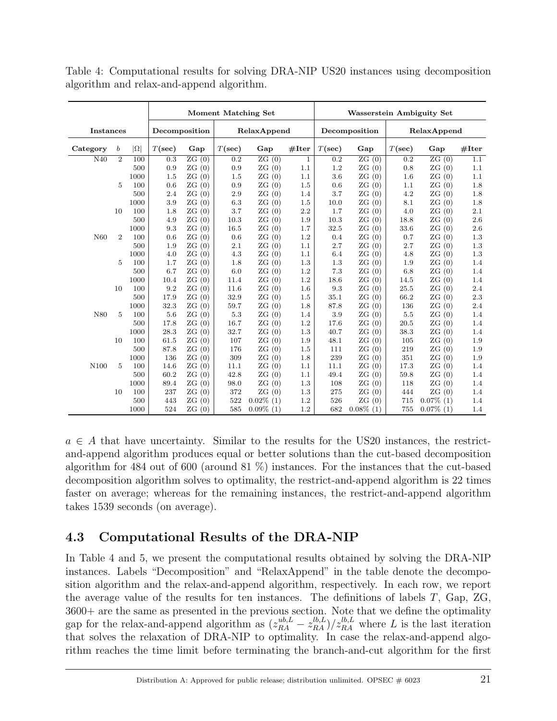|                  |                |            |           |                    | <b>Moment Matching Set</b> |                    |              | <b>Wasserstein Ambiguity Set</b> |                    |           |                    |         |  |
|------------------|----------------|------------|-----------|--------------------|----------------------------|--------------------|--------------|----------------------------------|--------------------|-----------|--------------------|---------|--|
| <b>Instances</b> |                |            |           | Decomposition      |                            | RelaxAppend        |              |                                  | Decomposition      |           | RelaxAppend        |         |  |
| Category         | b              | $ \Omega $ | $T(\sec)$ | Gap                | $T(\sec)$                  | Gap                | #Iter        | $T(\sec)$                        | Gap                | $T(\sec)$ | Gap                | #Iter   |  |
| $\overline{N40}$ | $\overline{2}$ | 100        | 0.3       | $\overline{ZG(0)}$ | $\overline{0.2}$           | $\overline{ZG(0)}$ | $\mathbf{1}$ | 0.2                              | $\overline{ZG(0)}$ | 0.2       | $\overline{ZG(0)}$ | 1.1     |  |
|                  |                | 500        | 0.9       | ZG(0)              | 0.9                        | ZG(0)              | 1.1          | 1.2                              | ZG(0)              | 0.8       | ZG(0)              | 1.1     |  |
|                  |                | 1000       | 1.5       | ZG(0)              | 1.5                        | ZG(0)              | 1.1          | 3.6                              | ZG(0)              | 1.6       | ZG(0)              | 1.1     |  |
|                  | 5              | 100        | 0.6       | ZG(0)              | 0.9                        | ZG(0)              | 1.5          | 0.6                              | ZG(0)              | 1.1       | ZG(0)              | 1.8     |  |
|                  |                | 500        | 2.4       | ZG(0)              | 2.9                        | ZG(0)              | 1.4          | 3.7                              | ZG(0)              | 4.2       | ZG(0)              | 1.8     |  |
|                  |                | 1000       | 3.9       | ZG(0)              | 6.3                        | ZG(0)              | 1.5          | 10.0                             | ZG(0)              | 8.1       | ZG(0)              | 1.8     |  |
|                  | 10             | 100        | 1.8       | ZG(0)              | 3.7                        | ZG(0)              | 2.2          | 1.7                              | ZG(0)              | 4.0       | ZG(0)              | 2.1     |  |
|                  |                | 500        | 4.9       | ZG(0)              | 10.3                       | ZG(0)              | 1.9          | 10.3                             | ZG(0)              | 18.8      | ZG(0)              | 2.6     |  |
|                  |                | 1000       | 9.3       | ZG(0)              | 16.5                       | ZG(0)              | 1.7          | 32.5                             | ZG(0)              | 33.6      | ZG(0)              | 2.6     |  |
| N <sub>60</sub>  | $\overline{2}$ | 100        | 0.6       | ZG(0)              | 0.6                        | ZG<br>(0)          | 1.2          | 0.4                              | ZG(0)              | 0.7       | ZG(0)              | 1.3     |  |
|                  |                | 500        | 1.9       | ZG(0)              | 2.1                        | ZG<br>(0)          | 1.1          | 2.7                              | ZG(0)              | 2.7       | ZG(0)              | 1.3     |  |
|                  |                | 1000       | 4.0       | ZG(0)              | 4.3                        | ZG(0)              | 1.1          | 6.4                              | ZG(0)              | 4.8       | ZG(0)              | 1.3     |  |
|                  | 5              | 100        | 1.7       | ZG(0)              | 1.8                        | ZG(0)              | 1.3          | 1.3                              | ZG(0)              | 1.9       | ZG(0)              | 1.4     |  |
|                  |                | 500        | 6.7       | ZG(0)              | 6.0                        | ZG(0)              | 1.2          | 7.3                              | ZG(0)              | 6.8       | ZG(0)              | 1.4     |  |
|                  |                | 1000       | 10.4      | ZG(0)              | 11.4                       | ZG(0)              | 1.2          | 18.6                             | ZG(0)              | 14.5      | ZG(0)              | 1.4     |  |
|                  | 10             | 100        | 9.2       | ZG(0)              | 11.6                       | ZG(0)              | 1.6          | 9.3                              | ZG(0)              | 25.5      | ZG(0)              | 2.4     |  |
|                  |                | 500        | 17.9      | ZG(0)              | 32.9                       | ZG(0)              | 1.5          | 35.1                             | ZG(0)              | 66.2      | ZG(0)              | $2.3\,$ |  |
|                  |                | 1000       | 32.3      | ZG(0)              | 59.7                       | ZG(0)              | 1.8          | 87.8                             | ZG(0)              | 136       | ZG(0)              | 2.4     |  |
| N80              | 5              | 100        | 5.6       | ZG(0)              | 5.3                        | ZG(0)              | 1.4          | 3.9                              | ZG(0)              | 5.5       | ZG(0)              | 1.4     |  |
|                  |                | 500        | 17.8      | ZG(0)              | 16.7                       | ZG(0)              | 1.2          | 17.6                             | ZG(0)              | 20.5      | ZG(0)              | 1.4     |  |
|                  |                | 1000       | 28.3      | ZG(0)              | 32.7                       | ZG(0)              | 1.3          | 40.7                             | ZG(0)              | 38.3      | ZG(0)              | 1.4     |  |
|                  | 10             | 100        | 61.5      | ZG(0)              | 107                        | ZG(0)              | 1.9          | 48.1                             | ZG(0)              | 105       | ZG(0)              | 1.9     |  |
|                  |                | 500        | 87.8      | ZG(0)              | 176                        | ZG(0)              | 1.5          | 111                              | ZG(0)              | 219       | ZG(0)              | 1.9     |  |
|                  |                | 1000       | 136       | ZG(0)              | 309                        | ZG(0)              | 1.8          | 239                              | ZG(0)              | 351       | ZG(0)              | 1.9     |  |
| N100             | 5              | 100        | 14.6      | ZG(0)              | 11.1                       | ZG(0)              | 1.1          | 11.1                             | ZG(0)              | 17.3      | ZG(0)              | 1.4     |  |
|                  |                | 500        | 60.2      | ZG(0)              | 42.8                       | ZG(0)              | 1.1          | 49.4                             | ZG(0)              | 59.8      | ZG(0)              | 1.4     |  |
|                  |                | 1000       | 89.4      | ZG(0)              | 98.0                       | ZG(0)              | 1.3          | 108                              | ZG(0)              | 118       | ZG(0)              | 1.4     |  |
|                  | 10             | 100        | 237       | ZG(0)              | 372                        | ZG(0)              | 1.3          | 275                              | ZG(0)              | 444       | ZG(0)              | 1.4     |  |
|                  |                | 500        | 443       | ZG(0)              | 522                        | $0.02\%$ (1)       | 1.2          | 526                              | ZG(0)              | 715       | $0.07\%$ (1)       | 1.4     |  |
|                  |                | 1000       | 524       | ZG(0)              | 585                        | $0.09\%$ (1)       | 1.2          | 682                              | $0.08\%$ (1)       | 755       | $0.07\%$ (1)       | 1.4     |  |

Table 4: Computational results for solving DRA-NIP US20 instances using decomposition algorithm and relax-and-append algorithm.

 $a \in A$  that have uncertainty. Similar to the results for the US20 instances, the restrictand-append algorithm produces equal or better solutions than the cut-based decomposition algorithm for 484 out of 600 (around 81 %) instances. For the instances that the cut-based decomposition algorithm solves to optimality, the restrict-and-append algorithm is 22 times faster on average; whereas for the remaining instances, the restrict-and-append algorithm takes 1539 seconds (on average).

## 4.3 Computational Results of the DRA-NIP

In Table 4 and 5, we present the computational results obtained by solving the DRA-NIP instances. Labels "Decomposition" and "RelaxAppend" in the table denote the decomposition algorithm and the relax-and-append algorithm, respectively. In each row, we report the average value of the results for ten instances. The definitions of labels T, Gap, ZG, 3600+ are the same as presented in the previous section. Note that we define the optimality gap for the relax-and-append algorithm as  $(z_{RA}^{ub,L} - z_{RA}^{lb,L})/z_{RA}^{lb,L}$  where L is the last iteration that solves the relaxation of DRA-NIP to optimality. In case the relax-and-append algorithm reaches the time limit before terminating the branch-and-cut algorithm for the first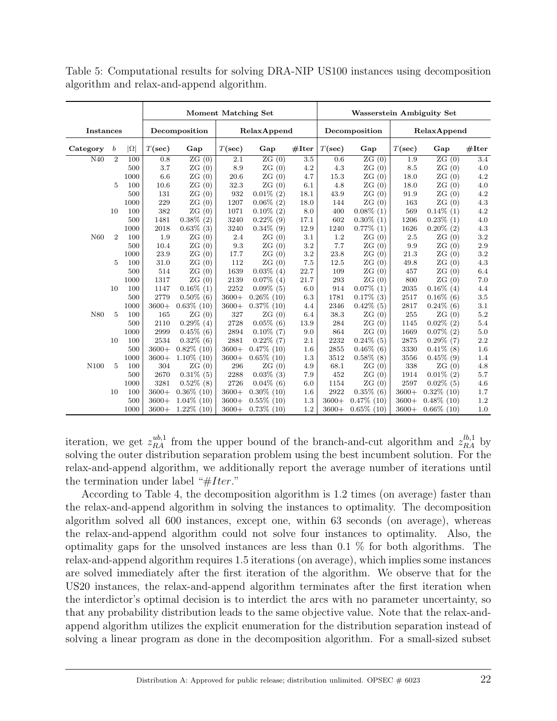|                  |                |            | <b>Moment Matching Set</b> |               |                  |               |       |           | <b>Wasserstein Ambiguity Set</b> |           |               |       |
|------------------|----------------|------------|----------------------------|---------------|------------------|---------------|-------|-----------|----------------------------------|-----------|---------------|-------|
| <b>Instances</b> |                |            |                            | Decomposition |                  | RelaxAppend   |       |           | Decomposition                    |           | RelaxAppend   |       |
| Category         | b              | $ \Omega $ | $T(\sec)$                  | Gap           | $T(\sec)$        | Gap           | #Iter | $T(\sec)$ | Gap                              | $T(\sec)$ | Gap           | #Iter |
| N40              | $\overline{2}$ | 100        | 0.8                        | ZG(0)         | $\overline{2.1}$ | ZG(0)         | 3.5   | 0.6       | ZG(0)                            | 1.9       | ZG(0)         | 3.4   |
|                  |                | 500        | 3.7                        | ZG(0)         | 8.9              | ZG(0)         | 4.2   | 4.3       | ZG(0)                            | 8.5       | ZG(0)         | 4.0   |
|                  |                | 1000       | 6.6                        | ZG(0)         | 20.6             | ZG(0)         | 4.7   | 15.3      | ZG(0)                            | 18.0      | ZG(0)         | 4.2   |
|                  | $\overline{5}$ | 100        | 10.6                       | ZG(0)         | 32.3             | ZG(0)         | 6.1   | 4.8       | ZG(0)                            | 18.0      | ZG(0)         | 4.0   |
|                  |                | 500        | 131                        | ZG(0)         | 932              | $0.01\%$ (2)  | 18.1  | 43.9      | ZG(0)                            | 91.9      | ZG(0)         | 4.2   |
|                  |                | 1000       | 229                        | ZG(0)         | 1207             | $0.06\%$ (2)  | 18.0  | 144       | ZG(0)                            | 163       | ZG(0)         | 4.3   |
|                  | 10             | 100        | 382                        | ZG(0)         | 1071             | $0.10\%$ (2)  | 8.0   | 400       | $0.08\%$ (1)                     | 569       | $0.14\%$ (1)  | 4.2   |
|                  |                | 500        | 1481                       | $0.38\%$ (2)  | 3240             | $0.22\%$ (9)  | 17.1  | 602       | $0.30\%$ (1)                     | 1206      | $0.23\%$ (1)  | 4.0   |
|                  |                | 1000       | 2018                       | $0.63\%$ (3)  | 3240             | $0.34\%$ (9)  | 12.9  | 1240      | $0.77\%$ (1)                     | 1626      | $0.20\%$ (2)  | 4.3   |
| N <sub>60</sub>  | $\overline{2}$ | 100        | 1.9                        | ZG(0)         | 2.4              | ZG(0)         | 3.1   | 1.2       | ZG(0)                            | 2.5       | ZG(0)         | 3.2   |
|                  |                | 500        | 10.4                       | ZG(0)         | 9.3              | ZG(0)         | 3.2   | 7.7       | ZG(0)                            | 9.9       | ZG(0)         | 2.9   |
|                  |                | 1000       | 23.9                       | ZG(0)         | 17.7             | ZG(0)         | 3.2   | 23.8      | ZG(0)                            | 21.3      | ZG(0)         | 3.2   |
|                  | 5              | 100        | 31.0                       | ZG(0)         | 112              | ZG(0)         | 7.5   | 12.5      | ZG(0)                            | 49.8      | ZG(0)         | 4.3   |
|                  |                | 500        | 514                        | ZG(0)         | 1639             | $0.03\%$ (4)  | 22.7  | 109       | ZG(0)                            | 457       | ZG(0)         | 6.4   |
|                  |                | 1000       | 1317                       | ZG(0)         | 2139             | $0.07\%$ (4)  | 21.7  | 293       | ZG(0)                            | 800       | ZG(0)         | 7.0   |
|                  | 10             | 100        | 1147                       | $0.16\%$ (1)  | 2252             | $0.09\%$ (5)  | 6.0   | 914       | $0.07\%$ (1)                     | 2035      | $0.16\%$ (4)  | 4.4   |
|                  |                | 500        | 2779                       | $0.50\%$ (6)  | $3600+$          | $0.26\%$ (10) | 6.3   | 1781      | $0.17\%$ (3)                     | 2517      | $0.16\%$ (6)  | 3.5   |
|                  |                | 1000       | $3600+$                    | $0.63\%$ (10) | $3600+$          | $0.37\%$ (10) | 4.4   | 2346      | $0.42\%$ (5)                     | 2817      | $0.24\%$ (6)  | 3.1   |
| N80              | 5              | 100        | 165                        | ZG(0)         | 327              | ZG(0)         | 6.4   | 38.3      | ZG(0)                            | 255       | ZG(0)         | 5.2   |
|                  |                | 500        | 2110                       | $0.29\%$ (4)  | 2728             | $0.05\%$ (6)  | 13.9  | 284       | ZG(0)                            | 1145      | $0.02\%$ (2)  | 5.4   |
|                  |                | 1000       | 2999                       | $0.45\%$ (6)  | 2894             | $0.10\%$ (7)  | 9.0   | 864       | ZG(0)                            | 1669      | $0.07\%$ (2)  | 5.0   |
|                  | 10             | 100        | 2534                       | $0.32\%$ (6)  | 2881             | $0.22\%$ (7)  | 2.1   | 2232      | $0.24\%$ (5)                     | 2875      | $0.29\%$ (7)  | 2.2   |
|                  |                | 500        | $3600+$                    | $0.82\%$ (10) | $3600+$          | $0.47\%$ (10) | 1.6   | 2855      | $0.46\%$ (6)                     | 3330      | $0.41\%$ (8)  | 1.6   |
|                  |                | 1000       | $3600+$                    | $1.10\%$ (10) | $3600+$          | $0.65\%$ (10) | 1.3   | 3512      | $0.58\%$ (8)                     | 3556      | $0.45\%$ (9)  | 1.4   |
| N <sub>100</sub> | 5              | 100        | 304                        | ZG(0)         | 296              | ZG(0)         | 4.9   | 68.1      | ZG(0)                            | 338       | ZG(0)         | 4.8   |
|                  |                | 500        | 2670                       | $0.31\%$ (5)  | 2288             | $0.03\%$ (3)  | 7.9   | 452       | ZG(0)                            | 1914      | $0.01\%$ (2)  | 5.7   |
|                  |                | 1000       | 3281                       | $0.52\%$ (8)  | 2726             | $0.04\%$ (6)  | 6.0   | 1154      | ZG(0)                            | 2597      | $0.02\%$ (5)  | 4.6   |
|                  | 10             | 100        | $3600+$                    | $0.36\%$ (10) | $3600+$          | $0.30\%$ (10) | 1.6   | 2922      | $0.35\%$ (6)                     | $3600+$   | $0.32\%$ (10) | 1.7   |
|                  |                | 500        | $3600+$                    | $1.04\%$ (10) | $3600+$          | $0.55\%$ (10) | 1.3   | $3600+$   | $0.47\%$ (10)                    | $3600+$   | $0.48\%$ (10) | 1.2   |
|                  |                | 1000       | $3600+$                    | $1.22\%$ (10) | $3600+$          | $0.73\%$ (10) | 1.2   | $3600+$   | $0.65\%$ (10)                    | $3600+$   | $0.66\%$ (10) | 1.0   |

Table 5: Computational results for solving DRA-NIP US100 instances using decomposition algorithm and relax-and-append algorithm.

iteration, we get  $z_{RA}^{ub,1}$  from the upper bound of the branch-and-cut algorithm and  $z_{RA}^{lb,1}$  by solving the outer distribution separation problem using the best incumbent solution. For the relax-and-append algorithm, we additionally report the average number of iterations until the termination under label " $#Iter."$ 

According to Table 4, the decomposition algorithm is 1.2 times (on average) faster than the relax-and-append algorithm in solving the instances to optimality. The decomposition algorithm solved all 600 instances, except one, within 63 seconds (on average), whereas the relax-and-append algorithm could not solve four instances to optimality. Also, the optimality gaps for the unsolved instances are less than 0.1 % for both algorithms. The relax-and-append algorithm requires 1.5 iterations (on average), which implies some instances are solved immediately after the first iteration of the algorithm. We observe that for the US20 instances, the relax-and-append algorithm terminates after the first iteration when the interdictor's optimal decision is to interdict the arcs with no parameter uncertainty, so that any probability distribution leads to the same objective value. Note that the relax-andappend algorithm utilizes the explicit enumeration for the distribution separation instead of solving a linear program as done in the decomposition algorithm. For a small-sized subset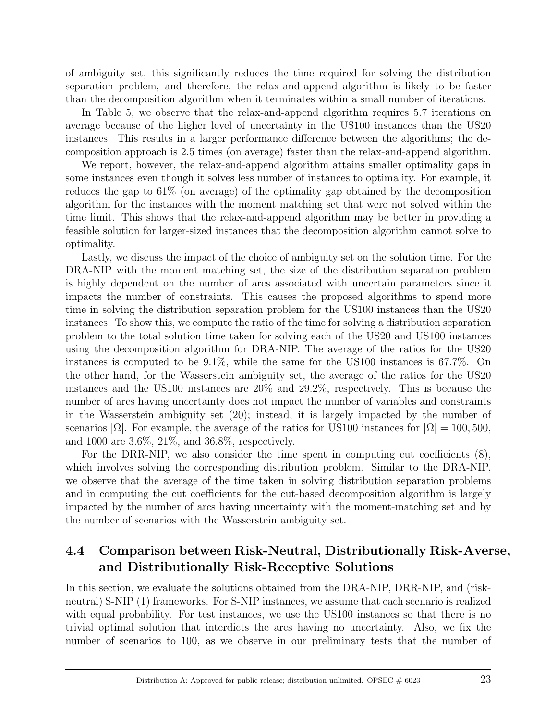of ambiguity set, this significantly reduces the time required for solving the distribution separation problem, and therefore, the relax-and-append algorithm is likely to be faster than the decomposition algorithm when it terminates within a small number of iterations.

In Table 5, we observe that the relax-and-append algorithm requires 5.7 iterations on average because of the higher level of uncertainty in the US100 instances than the US20 instances. This results in a larger performance difference between the algorithms; the decomposition approach is 2.5 times (on average) faster than the relax-and-append algorithm.

We report, however, the relax-and-append algorithm attains smaller optimality gaps in some instances even though it solves less number of instances to optimality. For example, it reduces the gap to 61% (on average) of the optimality gap obtained by the decomposition algorithm for the instances with the moment matching set that were not solved within the time limit. This shows that the relax-and-append algorithm may be better in providing a feasible solution for larger-sized instances that the decomposition algorithm cannot solve to optimality.

Lastly, we discuss the impact of the choice of ambiguity set on the solution time. For the DRA-NIP with the moment matching set, the size of the distribution separation problem is highly dependent on the number of arcs associated with uncertain parameters since it impacts the number of constraints. This causes the proposed algorithms to spend more time in solving the distribution separation problem for the US100 instances than the US20 instances. To show this, we compute the ratio of the time for solving a distribution separation problem to the total solution time taken for solving each of the US20 and US100 instances using the decomposition algorithm for DRA-NIP. The average of the ratios for the US20 instances is computed to be 9.1%, while the same for the US100 instances is 67.7%. On the other hand, for the Wasserstein ambiguity set, the average of the ratios for the US20 instances and the US100 instances are 20% and 29.2%, respectively. This is because the number of arcs having uncertainty does not impact the number of variables and constraints in the Wasserstein ambiguity set (20); instead, it is largely impacted by the number of scenarios  $|\Omega|$ . For example, the average of the ratios for US100 instances for  $|\Omega| = 100, 500$ , and 1000 are 3.6%, 21%, and 36.8%, respectively.

For the DRR-NIP, we also consider the time spent in computing cut coefficients (8), which involves solving the corresponding distribution problem. Similar to the DRA-NIP, we observe that the average of the time taken in solving distribution separation problems and in computing the cut coefficients for the cut-based decomposition algorithm is largely impacted by the number of arcs having uncertainty with the moment-matching set and by the number of scenarios with the Wasserstein ambiguity set.

## 4.4 Comparison between Risk-Neutral, Distributionally Risk-Averse, and Distributionally Risk-Receptive Solutions

In this section, we evaluate the solutions obtained from the DRA-NIP, DRR-NIP, and (riskneutral) S-NIP (1) frameworks. For S-NIP instances, we assume that each scenario is realized with equal probability. For test instances, we use the US100 instances so that there is no trivial optimal solution that interdicts the arcs having no uncertainty. Also, we fix the number of scenarios to 100, as we observe in our preliminary tests that the number of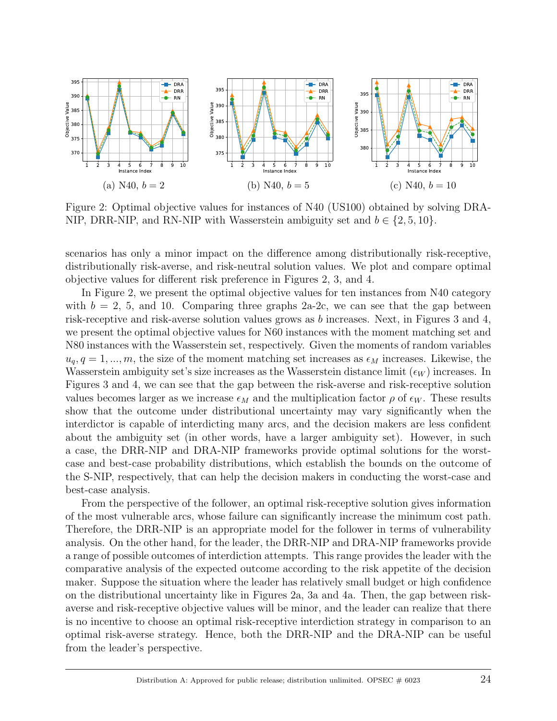

Figure 2: Optimal objective values for instances of N40 (US100) obtained by solving DRA-NIP, DRR-NIP, and RN-NIP with Wasserstein ambiguity set and  $b \in \{2, 5, 10\}$ .

scenarios has only a minor impact on the difference among distributionally risk-receptive, distributionally risk-averse, and risk-neutral solution values. We plot and compare optimal objective values for different risk preference in Figures 2, 3, and 4.

In Figure 2, we present the optimal objective values for ten instances from N40 category with  $b = 2, 5,$  and 10. Comparing three graphs 2a-2c, we can see that the gap between risk-receptive and risk-averse solution values grows as b increases. Next, in Figures 3 and 4, we present the optimal objective values for N60 instances with the moment matching set and N80 instances with the Wasserstein set, respectively. Given the moments of random variables  $u_q, q = 1, ..., m$ , the size of the moment matching set increases as  $\epsilon_M$  increases. Likewise, the Wasserstein ambiguity set's size increases as the Wasserstein distance limit  $(\epsilon_W)$  increases. In Figures 3 and 4, we can see that the gap between the risk-averse and risk-receptive solution values becomes larger as we increase  $\epsilon_M$  and the multiplication factor  $\rho$  of  $\epsilon_W$ . These results show that the outcome under distributional uncertainty may vary significantly when the interdictor is capable of interdicting many arcs, and the decision makers are less confident about the ambiguity set (in other words, have a larger ambiguity set). However, in such a case, the DRR-NIP and DRA-NIP frameworks provide optimal solutions for the worstcase and best-case probability distributions, which establish the bounds on the outcome of the S-NIP, respectively, that can help the decision makers in conducting the worst-case and best-case analysis.

From the perspective of the follower, an optimal risk-receptive solution gives information of the most vulnerable arcs, whose failure can significantly increase the minimum cost path. Therefore, the DRR-NIP is an appropriate model for the follower in terms of vulnerability analysis. On the other hand, for the leader, the DRR-NIP and DRA-NIP frameworks provide a range of possible outcomes of interdiction attempts. This range provides the leader with the comparative analysis of the expected outcome according to the risk appetite of the decision maker. Suppose the situation where the leader has relatively small budget or high confidence on the distributional uncertainty like in Figures 2a, 3a and 4a. Then, the gap between riskaverse and risk-receptive objective values will be minor, and the leader can realize that there is no incentive to choose an optimal risk-receptive interdiction strategy in comparison to an optimal risk-averse strategy. Hence, both the DRR-NIP and the DRA-NIP can be useful from the leader's perspective.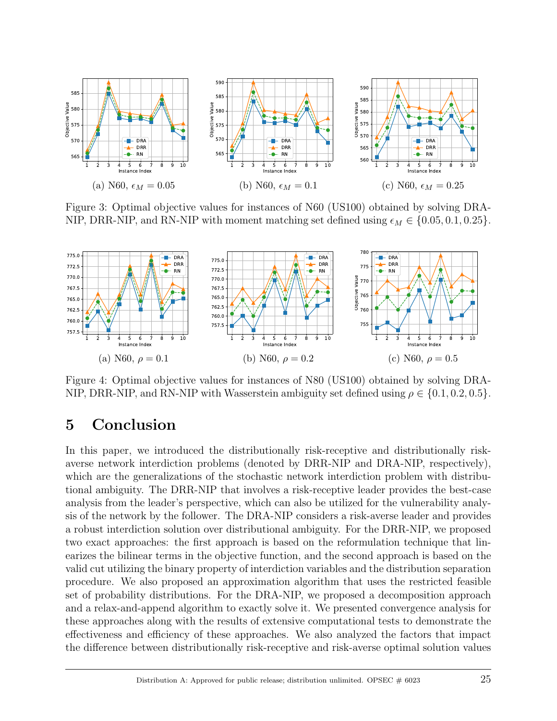

Figure 3: Optimal objective values for instances of N60 (US100) obtained by solving DRA-NIP, DRR-NIP, and RN-NIP with moment matching set defined using  $\epsilon_M \in \{0.05, 0.1, 0.25\}.$ 



Figure 4: Optimal objective values for instances of N80 (US100) obtained by solving DRA-NIP, DRR-NIP, and RN-NIP with Wasserstein ambiguity set defined using  $\rho \in \{0.1, 0.2, 0.5\}$ .

## 5 Conclusion

In this paper, we introduced the distributionally risk-receptive and distributionally riskaverse network interdiction problems (denoted by DRR-NIP and DRA-NIP, respectively), which are the generalizations of the stochastic network interdiction problem with distributional ambiguity. The DRR-NIP that involves a risk-receptive leader provides the best-case analysis from the leader's perspective, which can also be utilized for the vulnerability analysis of the network by the follower. The DRA-NIP considers a risk-averse leader and provides a robust interdiction solution over distributional ambiguity. For the DRR-NIP, we proposed two exact approaches: the first approach is based on the reformulation technique that linearizes the bilinear terms in the objective function, and the second approach is based on the valid cut utilizing the binary property of interdiction variables and the distribution separation procedure. We also proposed an approximation algorithm that uses the restricted feasible set of probability distributions. For the DRA-NIP, we proposed a decomposition approach and a relax-and-append algorithm to exactly solve it. We presented convergence analysis for these approaches along with the results of extensive computational tests to demonstrate the effectiveness and efficiency of these approaches. We also analyzed the factors that impact the difference between distributionally risk-receptive and risk-averse optimal solution values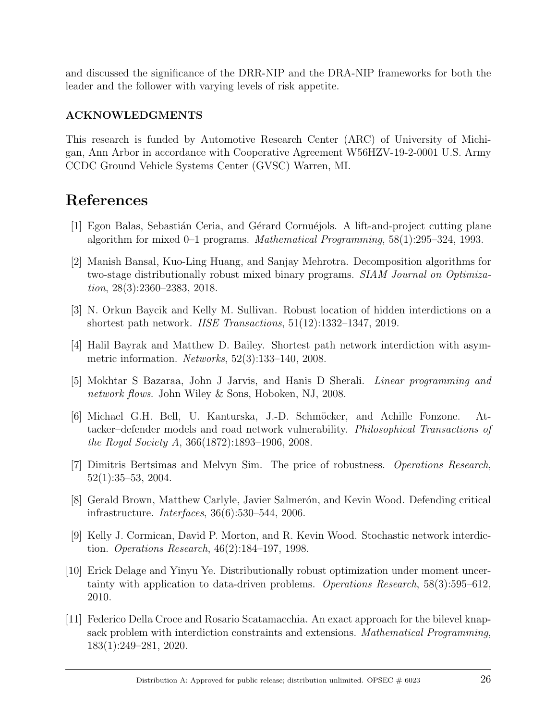and discussed the significance of the DRR-NIP and the DRA-NIP frameworks for both the leader and the follower with varying levels of risk appetite.

### ACKNOWLEDGMENTS

This research is funded by Automotive Research Center (ARC) of University of Michigan, Ann Arbor in accordance with Cooperative Agreement W56HZV-19-2-0001 U.S. Army CCDC Ground Vehicle Systems Center (GVSC) Warren, MI.

## References

- [1] Egon Balas, Sebastián Ceria, and Gérard Cornuéjols. A lift-and-project cutting plane algorithm for mixed 0–1 programs. Mathematical Programming, 58(1):295–324, 1993.
- [2] Manish Bansal, Kuo-Ling Huang, and Sanjay Mehrotra. Decomposition algorithms for two-stage distributionally robust mixed binary programs. SIAM Journal on Optimization, 28(3):2360–2383, 2018.
- [3] N. Orkun Baycik and Kelly M. Sullivan. Robust location of hidden interdictions on a shortest path network. IISE Transactions, 51(12):1332–1347, 2019.
- [4] Halil Bayrak and Matthew D. Bailey. Shortest path network interdiction with asymmetric information. Networks, 52(3):133–140, 2008.
- [5] Mokhtar S Bazaraa, John J Jarvis, and Hanis D Sherali. Linear programming and network flows. John Wiley & Sons, Hoboken, NJ, 2008.
- [6] Michael G.H. Bell, U. Kanturska, J.-D. Schm¨ocker, and Achille Fonzone. Attacker–defender models and road network vulnerability. Philosophical Transactions of the Royal Society A, 366(1872):1893–1906, 2008.
- [7] Dimitris Bertsimas and Melvyn Sim. The price of robustness. Operations Research, 52(1):35–53, 2004.
- [8] Gerald Brown, Matthew Carlyle, Javier Salmerón, and Kevin Wood. Defending critical infrastructure. Interfaces, 36(6):530–544, 2006.
- [9] Kelly J. Cormican, David P. Morton, and R. Kevin Wood. Stochastic network interdiction. Operations Research, 46(2):184–197, 1998.
- [10] Erick Delage and Yinyu Ye. Distributionally robust optimization under moment uncertainty with application to data-driven problems. Operations Research, 58(3):595–612, 2010.
- [11] Federico Della Croce and Rosario Scatamacchia. An exact approach for the bilevel knapsack problem with interdiction constraints and extensions. Mathematical Programming, 183(1):249–281, 2020.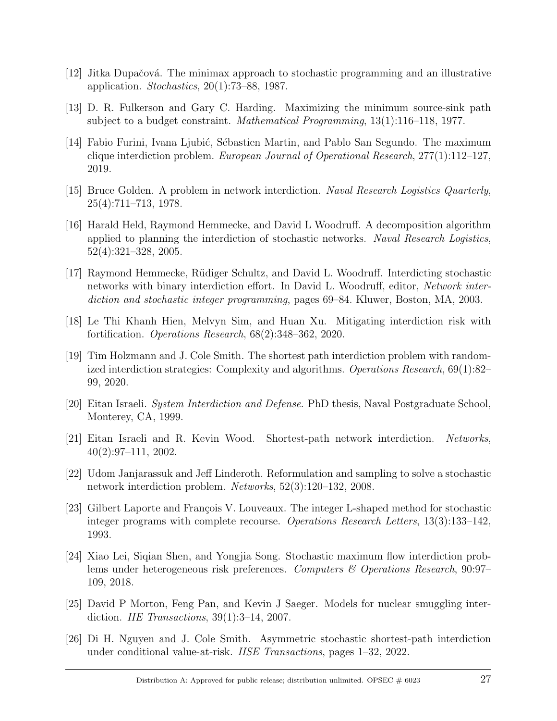- $|12|$  Jitka Dupačová. The minimax approach to stochastic programming and an illustrative application. *Stochastics*,  $20(1)$ :73–88, 1987.
- [13] D. R. Fulkerson and Gary C. Harding. Maximizing the minimum source-sink path subject to a budget constraint. *Mathematical Programming*,  $13(1):116-118$ ,  $1977$ .
- [14] Fabio Furini, Ivana Ljubić, Sébastien Martin, and Pablo San Segundo. The maximum clique interdiction problem. European Journal of Operational Research,  $277(1):112-127$ , 2019.
- [15] Bruce Golden. A problem in network interdiction. Naval Research Logistics Quarterly, 25(4):711–713, 1978.
- [16] Harald Held, Raymond Hemmecke, and David L Woodruff. A decomposition algorithm applied to planning the interdiction of stochastic networks. Naval Research Logistics, 52(4):321–328, 2005.
- [17] Raymond Hemmecke, R¨udiger Schultz, and David L. Woodruff. Interdicting stochastic networks with binary interdiction effort. In David L. Woodruff, editor, Network interdiction and stochastic integer programming, pages 69–84. Kluwer, Boston, MA, 2003.
- [18] Le Thi Khanh Hien, Melvyn Sim, and Huan Xu. Mitigating interdiction risk with fortification. Operations Research, 68(2):348–362, 2020.
- [19] Tim Holzmann and J. Cole Smith. The shortest path interdiction problem with randomized interdiction strategies: Complexity and algorithms. Operations Research, 69(1):82– 99, 2020.
- [20] Eitan Israeli. System Interdiction and Defense. PhD thesis, Naval Postgraduate School, Monterey, CA, 1999.
- [21] Eitan Israeli and R. Kevin Wood. Shortest-path network interdiction. Networks, 40(2):97–111, 2002.
- [22] Udom Janjarassuk and Jeff Linderoth. Reformulation and sampling to solve a stochastic network interdiction problem. Networks, 52(3):120–132, 2008.
- [23] Gilbert Laporte and François V. Louveaux. The integer L-shaped method for stochastic integer programs with complete recourse. Operations Research Letters, 13(3):133–142, 1993.
- [24] Xiao Lei, Siqian Shen, and Yongjia Song. Stochastic maximum flow interdiction problems under heterogeneous risk preferences. Computers & Operations Research, 90:97– 109, 2018.
- [25] David P Morton, Feng Pan, and Kevin J Saeger. Models for nuclear smuggling interdiction. *IIE Transactions*,  $39(1):3-14$ , 2007.
- [26] Di H. Nguyen and J. Cole Smith. Asymmetric stochastic shortest-path interdiction under conditional value-at-risk. IISE Transactions, pages 1–32, 2022.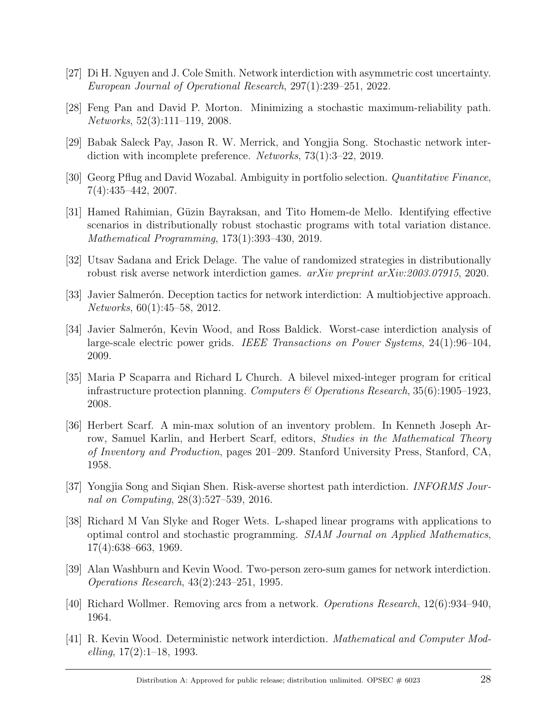- [27] Di H. Nguyen and J. Cole Smith. Network interdiction with asymmetric cost uncertainty. European Journal of Operational Research, 297(1):239–251, 2022.
- [28] Feng Pan and David P. Morton. Minimizing a stochastic maximum-reliability path. Networks, 52(3):111–119, 2008.
- [29] Babak Saleck Pay, Jason R. W. Merrick, and Yongjia Song. Stochastic network interdiction with incomplete preference. Networks, 73(1):3–22, 2019.
- [30] Georg Pflug and David Wozabal. Ambiguity in portfolio selection. Quantitative Finance, 7(4):435–442, 2007.
- [31] Hamed Rahimian, Güzin Bayraksan, and Tito Homem-de Mello. Identifying effective scenarios in distributionally robust stochastic programs with total variation distance. Mathematical Programming, 173(1):393–430, 2019.
- [32] Utsav Sadana and Erick Delage. The value of randomized strategies in distributionally robust risk averse network interdiction games. *arXiv preprint arXiv:2003.07915*, 2020.
- [33] Javier Salmerón. Deception tactics for network interdiction: A multiobjective approach. Networks, 60(1):45–58, 2012.
- [34] Javier Salmerón, Kevin Wood, and Ross Baldick. Worst-case interdiction analysis of large-scale electric power grids. IEEE Transactions on Power Systems, 24(1):96–104, 2009.
- [35] Maria P Scaparra and Richard L Church. A bilevel mixed-integer program for critical infrastructure protection planning. Computers & Operations Research,  $35(6)$ :1905–1923, 2008.
- [36] Herbert Scarf. A min-max solution of an inventory problem. In Kenneth Joseph Arrow, Samuel Karlin, and Herbert Scarf, editors, *Studies in the Mathematical Theory* of Inventory and Production, pages 201–209. Stanford University Press, Stanford, CA, 1958.
- [37] Yongjia Song and Siqian Shen. Risk-averse shortest path interdiction. INFORMS Journal on Computing, 28(3):527–539, 2016.
- [38] Richard M Van Slyke and Roger Wets. L-shaped linear programs with applications to optimal control and stochastic programming. SIAM Journal on Applied Mathematics, 17(4):638–663, 1969.
- [39] Alan Washburn and Kevin Wood. Two-person zero-sum games for network interdiction. Operations Research, 43(2):243–251, 1995.
- [40] Richard Wollmer. Removing arcs from a network. Operations Research, 12(6):934–940, 1964.
- [41] R. Kevin Wood. Deterministic network interdiction. Mathematical and Computer Mod $elling, 17(2):1–18, 1993.$